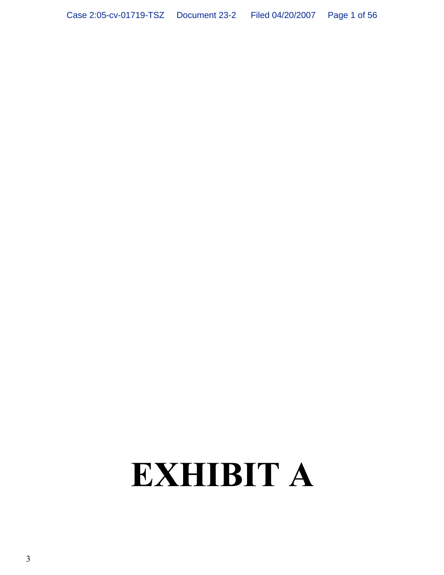## **EXHIBIT A**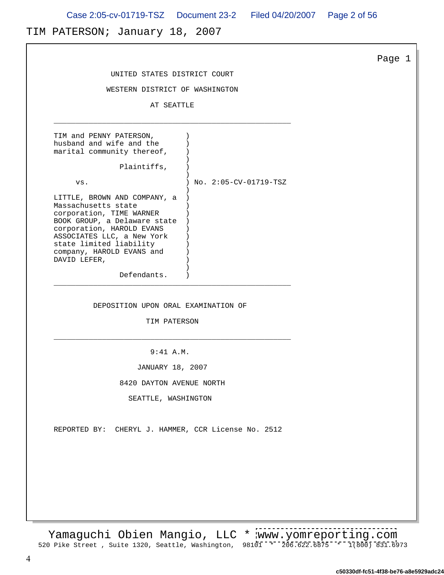Case 2:05-cv-01719-TSZ Document 23-2 Filed 04/20/2007 Page 2 of 56

### TIM PATERSON; January 18, 2007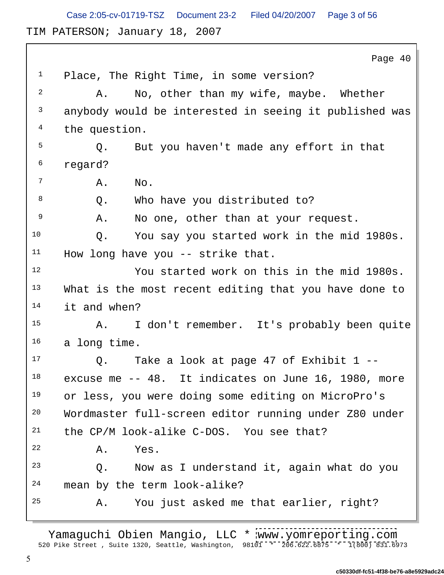TIM PATERSON; January 18, 2007 Case 2:05-cv-01719-TSZ Document 23-2 Filed 04/20/2007 Page 3 of 56

Page 40  $\parallel$  $1$  Place, The Right Time, in some version?  $2$  A. No, other than my wife, maybe. Whether <sup>3</sup> anybody would be interested in seeing it published was  $4$  the question.  $5$  O. But you haven't made any effort in that  $\frac{6}{5}$  regard? 7 A. No. 8 6 Q. Who have you distributed to? <sup>9</sup> A. No one, other than at your request. 10 Q. You say you started work in the mid 1980s. <sup>11</sup> How long have you -- strike that. 12 You started work on this in the mid 1980s. <sup>13</sup> What is the most recent editing that you have done to  $14$  it and when? 15 A. I don't remember. It's probably been quite  $16$  a long time.  $17$  0. Take a look at page 47 of Exhibit 1 --<sup>18</sup> excuse me -- 48. It indicates on June 16, 1980, more <sup>19</sup> or less, you were doing some editing on MicroPro's <sup>20</sup> Wordmaster full-screen editor running under Z80 under <sup>21</sup> the CP/M look-alike C-DOS. You see that?  $22$  A. Yes.  $23$  O. Now as I understand it, again what do you <sup>24</sup> mean by the term look-alike? 25 A. You just asked me that earlier, right?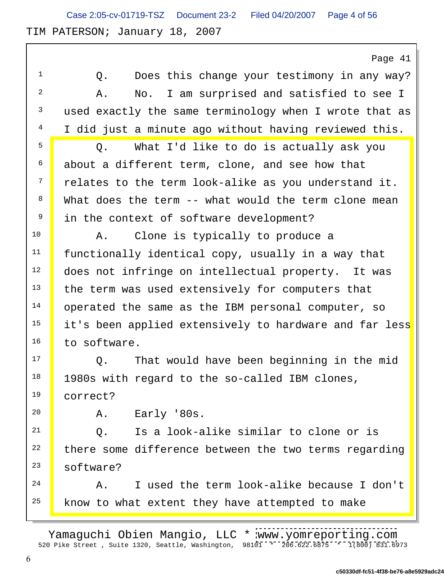TIM PATERSON; January 18, 2007 Case 2:05-cv-01719-TSZ Document 23-2 Filed 04/20/2007 Page 4 of 56

Page 41  $\parallel$ 1 Q. Does this change your testimony in any way? <sup>2</sup> A. No. I am surprised and satisfied to see I  $3$  used exactly the same terminology when I wrote that as <sup>4</sup> I did just a minute ago without having reviewed this. <sup>5</sup> O. What I'd like to do is actually ask you  $6$  about a different term, clone, and see how that  $7$  relates to the term look-alike as you understand it.  $8$  What does the term  $-$  what would the term clone mean <sup>9</sup> in the context of software development? 10 **A.** Clone is typically to produce a  $11$  functionally identical copy, usually in a way that <sup>12</sup> does not infringe on intellectual property. It was <sup>13</sup> the term was used extensively for computers that <sup>14</sup> operated the same as the IBM personal computer, so <sup>15</sup> it's been applied extensively to hardware and far less <sup>16</sup> to software. <sup>17</sup> Q. That would have been beginning in the mid <sup>18</sup> 1980s with regard to the so-called IBM clones, <sup>19</sup> correct? and the correct of the correct of the correct of the correct of the correct of the correct of the correct of the correct of the correct of the correct of the correct of the correct of the correct of the corre 20 A. Early '80s.  $21$   $\Box$  0. Is a look-alike similar to clone or is  $22$  there some difference between the two terms regarding <sup>23</sup> software? the contract of the contract of the contract of the contract of the contract of the contract of the contract of the contract of the contract of the contract of the contract of the contract of the contract of  $24$   $\overline{A}$ . I used the term look-alike because I don't  $25$  know to what extent they have attempted to make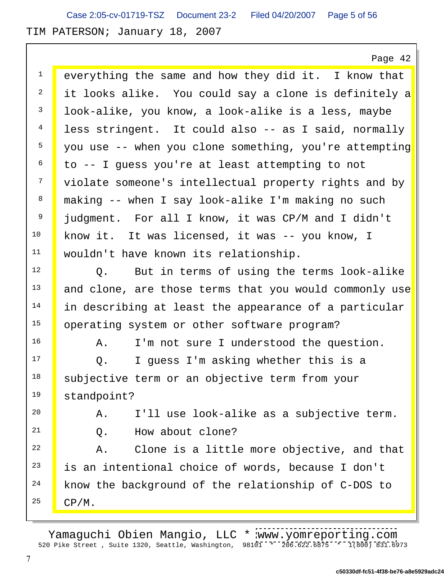TIM PATERSON; January 18, 2007 Case 2:05-cv-01719-TSZ Document 23-2 Filed 04/20/2007 Page 5 of 56

Page 42  $\parallel$ 

 $1$  everything the same and how they did it. I know that  $2$  it looks alike. You could say a clone is definitely a  $3$  look-alike, you know, a look-alike is a less, maybe <sup>4</sup> less stringent. It could also -- as I said, normally  $5$  you use  $-$  when you clone something, you're attempting  $6$  to  $-$  I guess you're at least attempting to not <sup>7</sup> violate someone's intellectual property rights and by <sup>8</sup> making -- when I say look-alike I'm making no such <sup>9</sup> judgment. For all I know, it was CP/M and I didn't <sup>10</sup> know it. It was licensed, it was -- you know, I <sup>11</sup> wouldn't have known its relationship. <sup>12</sup> 0. But in terms of using the terms look-alike <sup>13</sup> and clone, are those terms that you would commonly use <sup>14</sup> in describing at least the appearance of a particular <sup>15</sup> operating system or other software program? <sup>16</sup> A. I'm not sure I understood the question. 17 **Q.** I quess I'm asking whether this is a <sup>18</sup> subjective term or an objective term from your <sup>19</sup> standpoint? and the standpoint of the standard standard standard standard standard standard standard standard standard standard standard standard standard standard standard standard standard standard standard standard  $20$   $A.$  I'll use look-alike as a subjective term.  $21$  Q. How about clone?  $22$   $\blacksquare$  A. Clone is a little more objective, and that  $23$  is an intentional choice of words, because I don't <sup>24</sup> know the background of the relationship of C-DOS to  $25$  CP/M.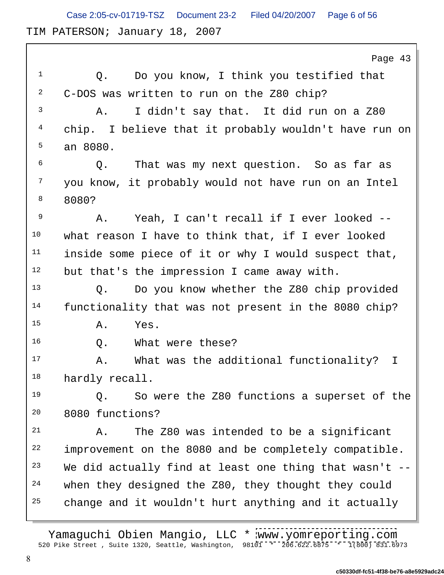TIM PATERSON; January 18, 2007 Case 2:05-cv-01719-TSZ Document 23-2 Filed 04/20/2007 Page 6 of 56

Page 43  $\parallel$ <sup>1</sup> 0. Do you know, I think you testified that <sup>2</sup> C-DOS was written to run on the Z80 chip? <sup>3</sup> A. I didn't say that. It did run on a Z80 <sup>4</sup> chip. I believe that it probably wouldn't have run on  $\sim$  5 an 8080.  $6$  Q. That was my next question. So as far as <sup>7</sup> you know, it probably would not have run on an Intel  $8$  8080? <sup>9</sup> A. Yeah, I can't recall if I ever looked --<sup>10</sup> what reason I have to think that, if I ever looked  $11$  inside some piece of it or why I would suspect that, 12 but that's the impression I came away with. 13 Q. Do you know whether the Z80 chip provided <sup>14</sup> functionality that was not present in the 8080 chip?  $A.$  Yes. 16 Q. What were these? 17 A. What was the additional functionality? I  $18$  hardly recall.  $\qquad \qquad \blacksquare$ 19 Q. So were the Z80 functions a superset of the 20 8080 functions? 21 A. The Z80 was intended to be a significant <sup>22</sup> improvement on the 8080 and be completely compatible.  $23$  We did actually find at least one thing that wasn't  $-$ <sup>24</sup> when they designed the Z80, they thought they could <sup>25</sup> change and it wouldn't hurt anything and it actually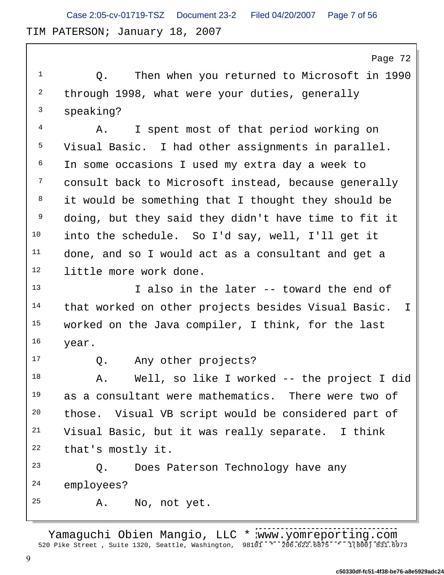TIM PATERSON; January 18, 2007 Case 2:05-cv-01719-TSZ Document 23-2 Filed 04/20/2007 Page 7 of 56

Page 72  $\parallel$ 1 6. Then when you returned to Microsoft in 1990  $2$  through 1998, what were your duties, generally  $3$  speaking? <sup>4</sup> A. I spent most of that period working on <sup>5</sup> Visual Basic. I had other assignments in parallel. <sup>6</sup> In some occasions I used my extra day a week to <sup>7</sup> consult back to Microsoft instead, because generally  $8$  it would be something that I thought they should be  $9$  doing, but they said they didn't have time to fit it <sup>10</sup> into the schedule. So I'd say, well, I'll get it  $11$  done, and so I would act as a consultant and get a 12 little more work done. 13 13 I also in the later -- toward the end of 14 that worked on other projects besides Visual Basic. I <sup>15</sup> worked on the Java compiler, I think, for the last  $16$  year. 17 Q. Any other projects?

18 A. Well, so like I worked -- the project I did as a consultant were mathematics. There were two of those. Visual VB script would be considered part of Visual Basic, but it was really separate. I think that's mostly it. 23 Q. Does Paterson Technology have any

 $24$  employees?

25 A. No, not yet.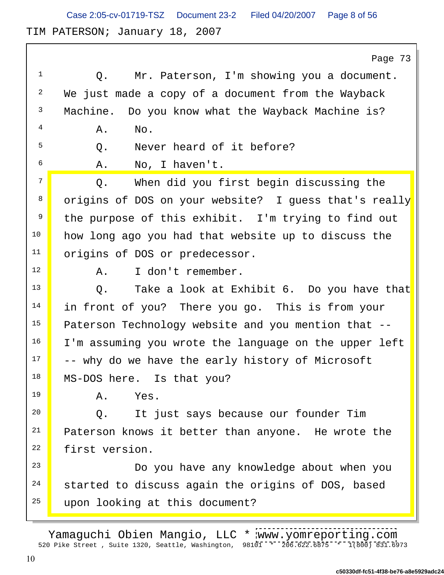TIM PATERSON; January 18, 2007 Case 2:05-cv-01719-TSZ Document 23-2 Filed 04/20/2007 Page 8 of 56

| Mr. Paterson, I'm showing you a document.<br>Q.<br>We just made a copy of a document from the Wayback<br>Machine. Do you know what the Wayback Machine is?<br>No.<br>Α.<br>Never heard of it before?<br>Q.<br>No, I haven't.<br>Α.<br>When did you first begin discussing the<br>Q.<br>origins of DOS on your website? I guess that's really<br>the purpose of this exhibit. I'm trying to find out<br>how long ago you had that website up to discuss the<br>origins of DOS or predecessor.<br>12<br>I don't remember.<br>Α.<br>13<br>Take a look at Exhibit 6. Do you have that<br>Q.<br>in front of you? There you go. This is from your<br>Paterson Technology website and you mention that --<br>16<br>I'm assuming you wrote the language on the upper left<br>17<br>-- why do we have the early history of Microsoft<br>MS-DOS here. Is that you?<br>19<br>Yes.<br>Α.<br>20<br>It just says because our founder Tim<br>Q.<br>Paterson knows it better than anyone. He wrote the<br>first version.<br>23<br>Do you have any knowledge about when you<br>24<br>started to discuss again the origins of DOS, based<br>upon looking at this document? | Page 73 |
|----------------------------------------------------------------------------------------------------------------------------------------------------------------------------------------------------------------------------------------------------------------------------------------------------------------------------------------------------------------------------------------------------------------------------------------------------------------------------------------------------------------------------------------------------------------------------------------------------------------------------------------------------------------------------------------------------------------------------------------------------------------------------------------------------------------------------------------------------------------------------------------------------------------------------------------------------------------------------------------------------------------------------------------------------------------------------------------------------------------------------------------------------------|---------|
|                                                                                                                                                                                                                                                                                                                                                                                                                                                                                                                                                                                                                                                                                                                                                                                                                                                                                                                                                                                                                                                                                                                                                          |         |
| 10<br>11<br>14<br>15<br>18 <b> </b><br>21<br>22<br>25                                                                                                                                                                                                                                                                                                                                                                                                                                                                                                                                                                                                                                                                                                                                                                                                                                                                                                                                                                                                                                                                                                    |         |
|                                                                                                                                                                                                                                                                                                                                                                                                                                                                                                                                                                                                                                                                                                                                                                                                                                                                                                                                                                                                                                                                                                                                                          |         |
|                                                                                                                                                                                                                                                                                                                                                                                                                                                                                                                                                                                                                                                                                                                                                                                                                                                                                                                                                                                                                                                                                                                                                          |         |
|                                                                                                                                                                                                                                                                                                                                                                                                                                                                                                                                                                                                                                                                                                                                                                                                                                                                                                                                                                                                                                                                                                                                                          |         |
|                                                                                                                                                                                                                                                                                                                                                                                                                                                                                                                                                                                                                                                                                                                                                                                                                                                                                                                                                                                                                                                                                                                                                          |         |
|                                                                                                                                                                                                                                                                                                                                                                                                                                                                                                                                                                                                                                                                                                                                                                                                                                                                                                                                                                                                                                                                                                                                                          |         |
|                                                                                                                                                                                                                                                                                                                                                                                                                                                                                                                                                                                                                                                                                                                                                                                                                                                                                                                                                                                                                                                                                                                                                          |         |
|                                                                                                                                                                                                                                                                                                                                                                                                                                                                                                                                                                                                                                                                                                                                                                                                                                                                                                                                                                                                                                                                                                                                                          |         |
|                                                                                                                                                                                                                                                                                                                                                                                                                                                                                                                                                                                                                                                                                                                                                                                                                                                                                                                                                                                                                                                                                                                                                          |         |
|                                                                                                                                                                                                                                                                                                                                                                                                                                                                                                                                                                                                                                                                                                                                                                                                                                                                                                                                                                                                                                                                                                                                                          |         |
|                                                                                                                                                                                                                                                                                                                                                                                                                                                                                                                                                                                                                                                                                                                                                                                                                                                                                                                                                                                                                                                                                                                                                          |         |
|                                                                                                                                                                                                                                                                                                                                                                                                                                                                                                                                                                                                                                                                                                                                                                                                                                                                                                                                                                                                                                                                                                                                                          |         |
|                                                                                                                                                                                                                                                                                                                                                                                                                                                                                                                                                                                                                                                                                                                                                                                                                                                                                                                                                                                                                                                                                                                                                          |         |
|                                                                                                                                                                                                                                                                                                                                                                                                                                                                                                                                                                                                                                                                                                                                                                                                                                                                                                                                                                                                                                                                                                                                                          |         |
|                                                                                                                                                                                                                                                                                                                                                                                                                                                                                                                                                                                                                                                                                                                                                                                                                                                                                                                                                                                                                                                                                                                                                          |         |
|                                                                                                                                                                                                                                                                                                                                                                                                                                                                                                                                                                                                                                                                                                                                                                                                                                                                                                                                                                                                                                                                                                                                                          |         |
|                                                                                                                                                                                                                                                                                                                                                                                                                                                                                                                                                                                                                                                                                                                                                                                                                                                                                                                                                                                                                                                                                                                                                          |         |
|                                                                                                                                                                                                                                                                                                                                                                                                                                                                                                                                                                                                                                                                                                                                                                                                                                                                                                                                                                                                                                                                                                                                                          |         |
|                                                                                                                                                                                                                                                                                                                                                                                                                                                                                                                                                                                                                                                                                                                                                                                                                                                                                                                                                                                                                                                                                                                                                          |         |
|                                                                                                                                                                                                                                                                                                                                                                                                                                                                                                                                                                                                                                                                                                                                                                                                                                                                                                                                                                                                                                                                                                                                                          |         |
|                                                                                                                                                                                                                                                                                                                                                                                                                                                                                                                                                                                                                                                                                                                                                                                                                                                                                                                                                                                                                                                                                                                                                          |         |
|                                                                                                                                                                                                                                                                                                                                                                                                                                                                                                                                                                                                                                                                                                                                                                                                                                                                                                                                                                                                                                                                                                                                                          |         |
|                                                                                                                                                                                                                                                                                                                                                                                                                                                                                                                                                                                                                                                                                                                                                                                                                                                                                                                                                                                                                                                                                                                                                          |         |
|                                                                                                                                                                                                                                                                                                                                                                                                                                                                                                                                                                                                                                                                                                                                                                                                                                                                                                                                                                                                                                                                                                                                                          |         |
|                                                                                                                                                                                                                                                                                                                                                                                                                                                                                                                                                                                                                                                                                                                                                                                                                                                                                                                                                                                                                                                                                                                                                          |         |

520 Pike Street , Suite 1320, Seattle, Washington, 98101 \* 206.622.6875 \* 1(800) 831.6973 Yamaguchi Obien Mangio, LLC \* [www.yomreporting.com](http://www.yomreporting.com)

 $\mathbf l$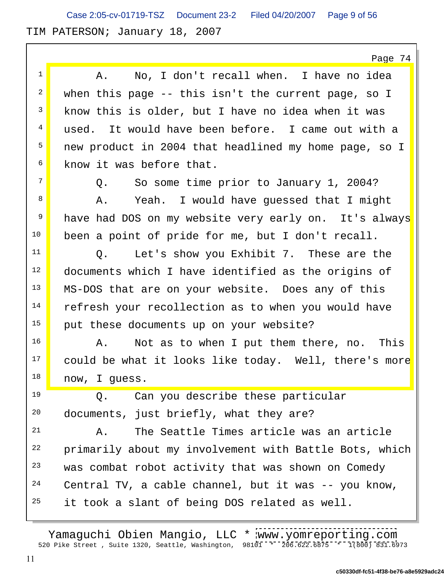TIM PATERSON; January 18, 2007 Case 2:05-cv-01719-TSZ Document 23-2 Filed 04/20/2007 Page 9 of 56

Page 74  $\parallel$ 

<sup>1</sup> A. No, I don't recall when. I have no idea  $2$  when this page -- this isn't the current page, so I  $3$  know this is older, but I have no idea when it was <sup>4</sup> used. It would have been before. I came out with a <sup>5</sup> new product in 2004 that headlined my home page, so I  $6$  know it was before that. <sup>7</sup> Q. So some time prior to January 1, 2004? <sup>8</sup> A. Yeah. I would have quessed that I might <sup>9</sup> have had DOS on my website very early on. It's always <sup>10</sup> been a point of pride for me, but I don't recall. <sup>11</sup> O. Let's show you Exhibit 7. These are the <sup>12</sup> documents which I have identified as the origins of <sup>13</sup> MS-DOS that are on your website. Does any of this <sup>14</sup> refresh your recollection as to when you would have <sup>15</sup> put these documents up on your website? <sup>16</sup> A. Not as to when I put them there, no. This <sup>17</sup> could be what it looks like today. Well, there's more <sup>18</sup> now, I guess.  $\begin{array}{c|c} \hline \end{array}$ 19 Q. Can you describe these particular <sup>20</sup> documents, just briefly, what they are? 21 A. The Seattle Times article was an article <sup>22</sup> primarily about my involvement with Battle Bots, which <sup>23</sup> was combat robot activity that was shown on Comedy  $24$  Central TV, a cable channel, but it was  $-$ - you know, <sup>25</sup> it took a slant of being DOS related as well.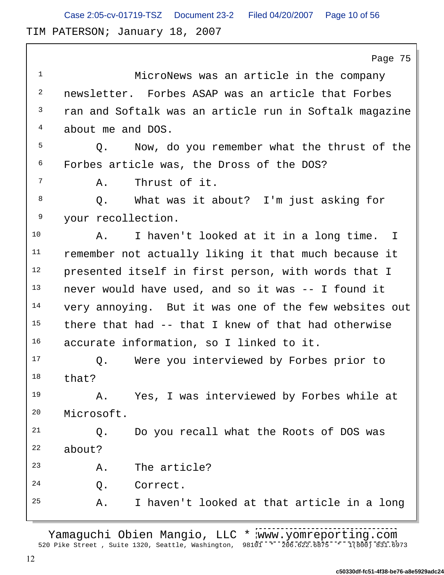TIM PATERSON; January 18, 2007 Case 2:05-cv-01719-TSZ Document 23-2 Filed 04/20/2007 Page 10 of 56

Page 75 1 MicroNews was an article in the company <sup>2</sup> newsletter. Forbes ASAP was an article that Forbes <sup>3</sup> ran and Softalk was an article run in Softalk magazine <sup>4</sup> about me and DOS. <sup>5</sup> 0. Now, do you remember what the thrust of the <sup>6</sup> Forbes article was, the Dross of the DOS?  $7$  A. Thrust of it. 8 6 Q. What was it about? I'm just asking for  $9$  your recollection. 10 A. I haven't looked at it in a long time. I <sup>11</sup> remember not actually liking it that much because it 12 presented itself in first person, with words that I  $13$  never would have used, and so it was  $-$ - I found it <sup>14</sup> very annoying. But it was one of the few websites out  $15$  there that had  $-$  that I knew of that had otherwise <sup>16</sup> accurate information, so I linked to it. 17 0. Were you interviewed by Forbes prior to  $18$  that? 19 A. Yes, I was interviewed by Forbes while at  $20$  Microsoft. 21 Q. Do you recall what the Roots of DOS was  $22$  about? 23 A. The article?  $2^4$  Q. Correct. 25 A. I haven't looked at that article in a long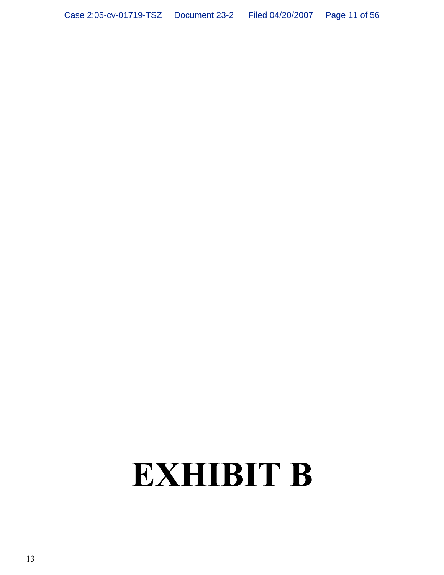## **EXHIBIT B**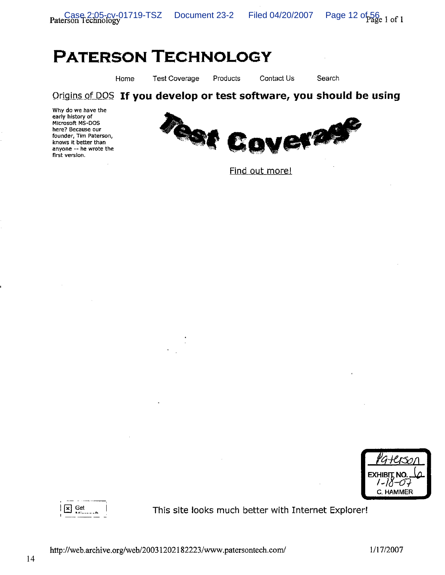## **PATERSON TECHNOLOGY**

Home

**Test Coverage** Products

Contact Us

Search

## Origins of DOS If you develop or test software, you should be using

Why do we have the early history of Microsoft MS-DOS here? Because our founder, Tim Paterson, knows it better than anyone -- he wrote the first version.



Find out more!





This site looks much better with Internet Explorer!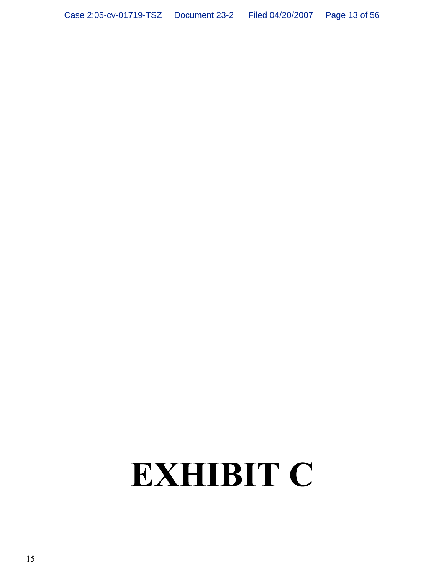# EXHIBIT C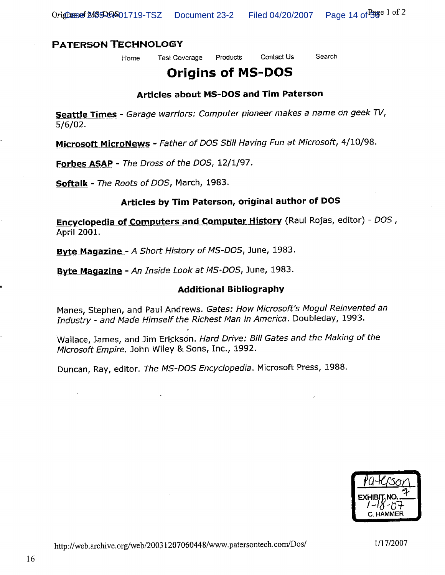### **PATERSON TECHNOLOGY**

Contact Us **Test Coverage Products** Home

Search

## **Origins of MS-DOS**

### Articles about MS-DOS and Tim Paterson

Seattle Times - Garage warriors: Computer pioneer makes a name on geek TV,  $5/6/02$ .

Microsoft MicroNews - Father of DOS Still Having Fun at Microsoft, 4/10/98.

Forbes ASAP - The Dross of the DOS, 12/1/97.

**Softalk** - The Roots of DOS, March, 1983.

### Articles by Tim Paterson, original author of DOS

Encyclopedia of Computers and Computer History (Raul Rojas, editor) - DOS, April 2001.

Byte Magazine - A Short History of MS-DOS, June, 1983.

Byte Magazine - An Inside Look at MS-DOS, June, 1983.

### **Additional Bibliography**

Manes, Stephen, and Paul Andrews. Gates: How Microsoft's Mogul Reinvented an Industry - and Made Himself the Richest Man in America. Doubleday, 1993.

Wallace, James, and Jim Erickson. Hard Drive: Bill Gates and the Making of the Microsoft Empire. John Wiley & Sons, Inc., 1992.

Duncan, Ray, editor. The MS-DOS Encyclopedia. Microsoft Press, 1988.

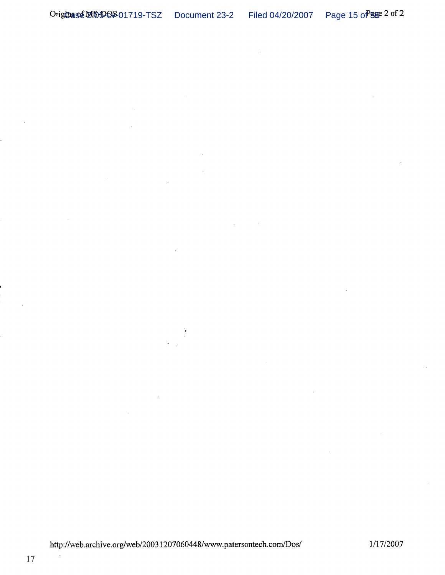http://web.archive.org/web/20031207060448/www.patersontech.com/Dos/

1/17/2007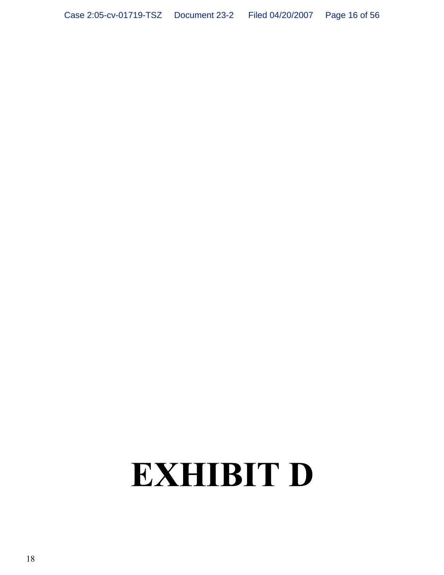## **EXHIBIT D**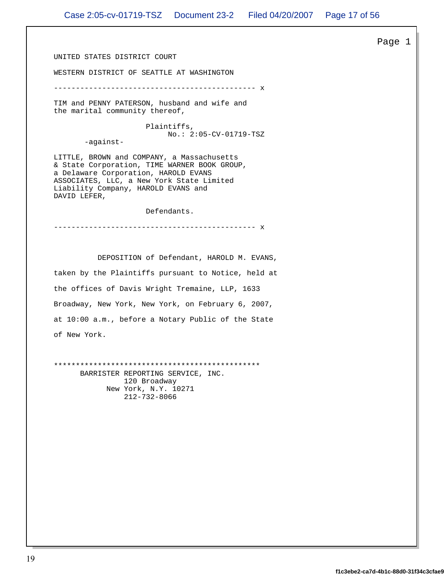UNITED STATES DISTRICT COURT

WESTERN DISTRICT OF SEATTLE AT WASHINGTON

```
---------------------------------------------- x
```
TIM and PENNY PATERSON, husband and wife and the marital community thereof,

Plaintiffs, the contract of the contract of the contract of the contract of the contract of the contract of the contract of the contract of the contract of the contract of the contract of the contract of the contract of th  $N_{\rm O.}: \; \; 2\cdot 05\!-\!{\rm CV}\!-\!01719\!-\!{\rm TSZ}$  and the set of  $\;$ 

-against-

LITTLE, BROWN and COMPANY, a Massachusetts & State Corporation, TIME WARNER BOOK GROUP, a Delaware Corporation, HAROLD EVANS ASSOCIATES, LLC, a New York State Limited Liability Company, HAROLD EVANS and DAVID LEFER,

Defendants.

---------------------------------------------- x

 DEPOSITION of Defendant, HAROLD M. EVANS, taken by the Plaintiffs pursuant to Notice, held at the offices of Davis Wright Tremaine, LLP, 1633 Broadway, New York, New York, on February 6, 2007, at 10:00 a.m., before a Notary Public of the State of New York.

\*\*\*\*\*\*\*\*\*\*\*\*\*\*\*\*\*\*\*\*\*\*\*\*\*\*\*\*\*\*\*\*\*\*\*\*\*\*\*\*\*\*\*\*\*\*\* BARRISTER REPORTING SERVICE, INC. 120 Broadway New York, N.Y. 10271  $212 - 732 - 8066$ 

Page 1  $\parallel$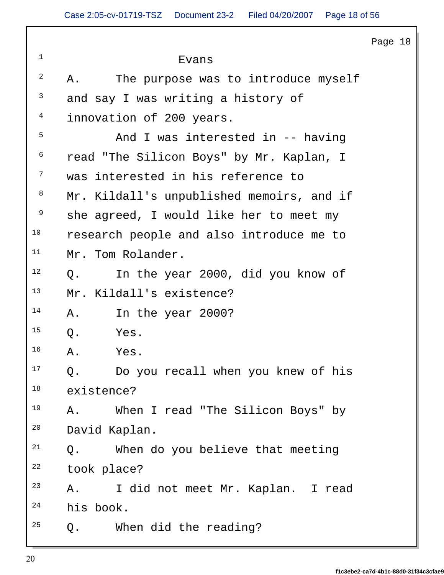|                |                                           | Page $18$ |
|----------------|-------------------------------------------|-----------|
|                | Evans                                     |           |
|                | The purpose was to introduce myself<br>Α. |           |
|                | and say I was writing a history of        |           |
| $\overline{4}$ | innovation of 200 years.                  |           |
|                | And I was interested in -- having         |           |
|                | read "The Silicon Boys" by Mr. Kaplan, I  |           |
|                | was interested in his reference to        |           |
|                | Mr. Kildall's unpublished memoirs, and if |           |
| 9              | she agreed, I would like her to meet my   |           |
| 10             | research people and also introduce me to  |           |
| 11             | Mr. Tom Rolander.                         |           |
| 12             | In the year 2000, did you know of<br>Q.   |           |
| 13             | Mr. Kildall's existence?                  |           |
| 14             | In the year 2000?<br>Α.                   |           |
| 15             | Q.<br>Yes.                                |           |
| 16             | Α.<br>Yes.                                |           |
| $17$           | Do you recall when you knew of his<br>Q.  |           |
| 18             | existence?                                |           |
| 19             | When I read "The Silicon Boys" by<br>Α.   |           |
| 20             | David Kaplan.                             |           |
| 21             | When do you believe that meeting<br>Q.    |           |
| 22             | took place?                               |           |
| 23             | I did not meet Mr. Kaplan. I read<br>Α.   |           |
| 24             | his book.                                 |           |
| 25             | When did the reading?<br>Q.               |           |

 $\mathbf{\mathbf{I}}$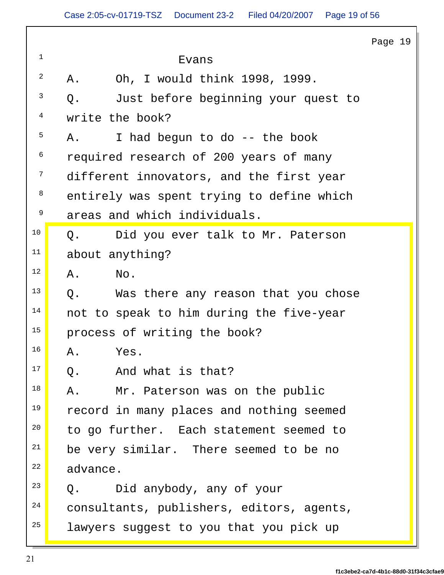|                         |                                            | Page 19 |
|-------------------------|--------------------------------------------|---------|
| $\overline{1}$          | Evans                                      |         |
| $\overline{a}$          | Oh, I would think 1998, 1999.<br><b>A.</b> |         |
| $\overline{\mathbf{3}}$ | Q.<br>Just before beginning your quest to  |         |
| $\overline{4}$          | write the book?                            |         |
| $5\overline{)}$         | I had begun to do -- the book<br>Α.        |         |
| 6                       | required research of 200 years of many     |         |
| $7\overline{ }$         | different innovators, and the first year   |         |
| 8                       | entirely was spent trying to define which  |         |
| 9                       | areas and which individuals.               |         |
| 10                      | Did you ever talk to Mr. Paterson<br>Q.    |         |
| 11                      | about anything?                            |         |
| 12                      | $\mathrm{No}$ .<br>Α.                      |         |
| 13                      | Q.<br>Was there any reason that you chose  |         |
| 14                      | not to speak to him during the five-year   |         |
| 15                      | process of writing the book?               |         |
| 16                      | Α.<br>Yes.                                 |         |
| 17                      | Q.<br>And what is that?                    |         |
| 18                      | Mr. Paterson was on the public<br>Α.       |         |
| 19                      | record in many places and nothing seemed   |         |
| 20                      | to go further. Each statement seemed to    |         |
| 21                      | be very similar. There seemed to be no     |         |
| 22                      | advance.                                   |         |
| 23                      | Did anybody, any of your<br>Q.             |         |
| 24                      | consultants, publishers, editors, agents,  |         |
| 25                      | lawyers suggest to you that you pick up    |         |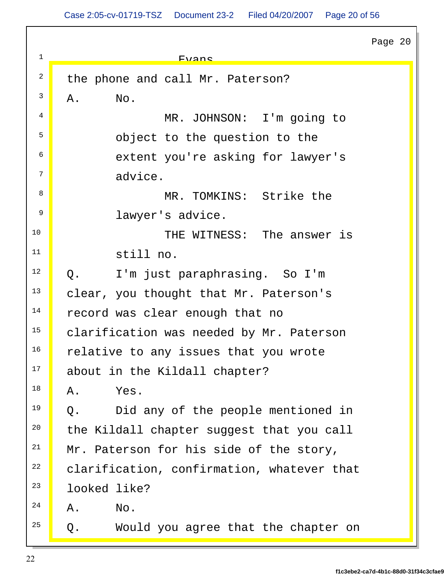|                         | Page 20                                    |
|-------------------------|--------------------------------------------|
|                         | Fyanc                                      |
| $\overline{a}$          | the phone and call Mr. Paterson?           |
| $\overline{\mathbf{3}}$ | Α.<br>No.                                  |
| $4 \mid$                | MR. JOHNSON: I'm going to                  |
| 5 <sup>5</sup>          | object to the question to the              |
| $6\overline{6}$         | extent you're asking for lawyer's          |
| $7\vert$                | advice.                                    |
| 8                       | Strike the<br>MR. TOMKINS:                 |
| 9 <sup>7</sup>          | lawyer's advice.                           |
| 10                      | The answer is<br>THE WITNESS:              |
| 11                      | still no.                                  |
| 12                      | Q.<br>I'm just paraphrasing. So I'm        |
| 13                      | clear, you thought that Mr. Paterson's     |
| 14                      | record was clear enough that no            |
| 15                      | clarification was needed by Mr. Paterson   |
| 16                      | relative to any issues that you wrote      |
| 17                      | about in the Kildall chapter?              |
| 18                      | Α.<br>Yes.                                 |
| 19                      | Q.<br>Did any of the people mentioned in   |
| 20                      | the Kildall chapter suggest that you call  |
| 21                      | Mr. Paterson for his side of the story,    |
| 22                      | clarification, confirmation, whatever that |
| 23                      | looked like?                               |
| 24                      | $\mathop{\rm No}\nolimits$ .<br>Α.         |
| 25                      | Would you agree that the chapter on<br>Q.  |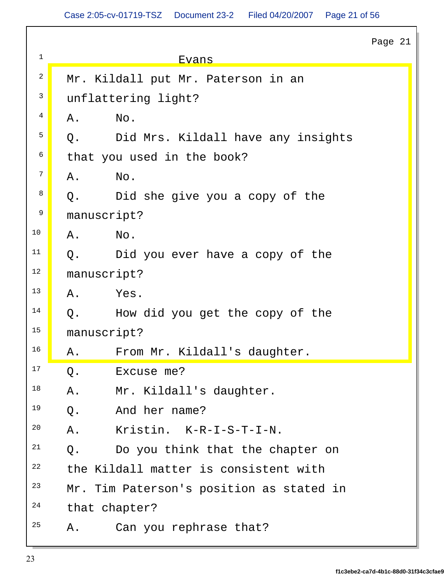|                 |             |                                          | Page 21 |
|-----------------|-------------|------------------------------------------|---------|
|                 |             | <b>Evans</b>                             |         |
| $\overline{a}$  |             | Mr. Kildall put Mr. Paterson in an       |         |
|                 |             | unflattering light?                      |         |
| $4\overline{4}$ | Α.          | No.                                      |         |
| $5\overline{)}$ | Q.          | Did Mrs. Kildall have any insights       |         |
| $6\overline{6}$ |             | that you used in the book?               |         |
| $\overline{7}$  | Α.          | No.                                      |         |
| 8               | Q.          | Did she give you a copy of the           |         |
| 9               |             | manuscript?                              |         |
| 10              | Α.          | $\mathrm{No}$ .                          |         |
| 11              | Q.          | Did you ever have a copy of the          |         |
| 12              | manuscript? |                                          |         |
| 13              | Α.          | Yes.                                     |         |
| 14              | Q.          | How did you get the copy of the          |         |
| 15              | manuscript? |                                          |         |
| 16              | Α.          | From Mr. Kildall's daughter.             |         |
| 17              | $Q$ .       | Excuse me?                               |         |
| 18              | Α.          | Mr. Kildall's daughter.                  |         |
| 19              | Q.          | And her name?                            |         |
| 20              | Α.          | Kristin. K-R-I-S-T-I-N.                  |         |
| 21              | Q.          | Do you think that the chapter on         |         |
| 22              |             | the Kildall matter is consistent with    |         |
| 23              |             | Mr. Tim Paterson's position as stated in |         |
| 24              |             | that chapter?                            |         |
| 25              | Α.          | Can you rephrase that?                   |         |
|                 |             |                                          |         |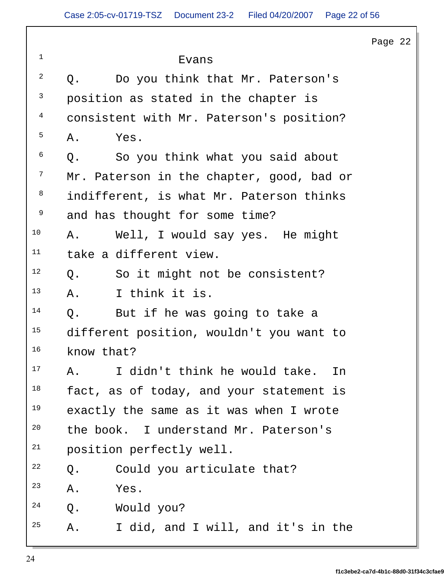|                                           | Page 22 $ $ |
|-------------------------------------------|-------------|
| Evans                                     |             |
| Do you think that Mr. Paterson's<br>Q.    |             |
| position as stated in the chapter is      |             |
| consistent with Mr. Paterson's position?  |             |
| Α.<br>Yes.                                |             |
| So you think what you said about<br>Q.    |             |
| Mr. Paterson in the chapter, good, bad or |             |
| indifferent, is what Mr. Paterson thinks  |             |
| and has thought for some time?            |             |
| Well, I would say yes. He might<br>Α.     |             |
| take a different view.                    |             |
| So it might not be consistent?<br>Q.      |             |
| I think it is.<br>Α.                      |             |
| Q.<br>But if he was going to take a       |             |
| different position, wouldn't you want to  |             |
| know that?                                |             |
| I didn't think he would take. In<br>Α.    |             |
| fact, as of today, and your statement is  |             |
| exactly the same as it was when I wrote   |             |
| the book. I understand Mr. Paterson's     |             |
| position perfectly well.                  |             |
| Could you articulate that?<br>Q.          |             |
| Α.<br>Yes.                                |             |
| Q.<br>Would you?                          |             |
| I did, and I will, and it's in the<br>Α.  |             |
|                                           |             |

 $\mathbf{\mathbf{I}}$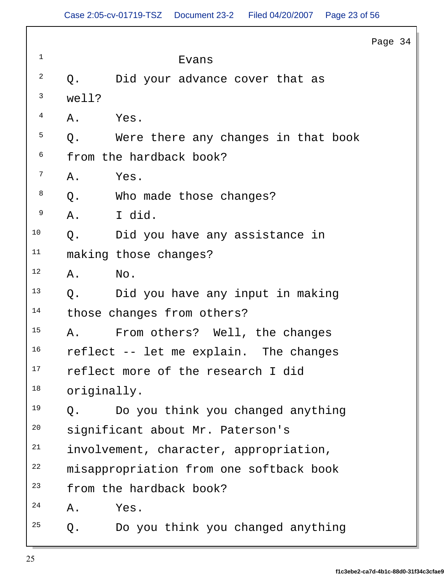|                         |             |                                         | Page 34 |
|-------------------------|-------------|-----------------------------------------|---------|
| $\mathbf{1}$            |             | Evans                                   |         |
| $\overline{a}$          | Q.          | Did your advance cover that as          |         |
| $\overline{\mathbf{3}}$ | well?       |                                         |         |
| $\overline{4}$          | Α.          | Yes.                                    |         |
| 5 <sup>5</sup>          | Q.          | Were there any changes in that book     |         |
| 6                       | from        | the hardback book?                      |         |
| $7\overline{ }$         | Α.          | Yes.                                    |         |
| 8                       | Q.          | Who made those changes?                 |         |
| 9                       | Α.          | I did.                                  |         |
| 10                      | Q.          | Did you have any assistance in          |         |
| 11                      |             | making those changes?                   |         |
| 12                      | Α.          | No.                                     |         |
| 13                      | Q.          | Did you have any input in making        |         |
| 14                      |             | those changes from others?              |         |
| 15                      | Α.          | From others? Well, the changes          |         |
| 16                      |             | reflect -- let me explain. The changes  |         |
| 17                      |             | reflect more of the research I did      |         |
| 18                      | originally. |                                         |         |
| 19                      | Q.          | Do you think you changed anything       |         |
| 20                      |             | significant about Mr. Paterson's        |         |
| 21                      |             | involvement, character, appropriation,  |         |
| 22                      |             | misappropriation from one softback book |         |
| 23                      |             | from the hardback book?                 |         |
| 24                      | Α.          | Yes.                                    |         |
| 25                      | Q.          | Do you think you changed anything       |         |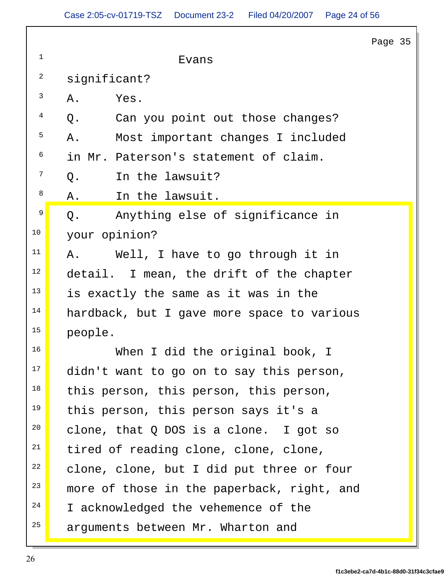|                 | Page 35                                    |
|-----------------|--------------------------------------------|
| $\mathbf{1}$    | Evans                                      |
| $\overline{a}$  | significant?                               |
|                 | Yes.<br>Α.                                 |
| $\overline{4}$  | Q.<br>Can you point out those changes?     |
| $5\overline{)}$ | Most important changes I included<br>Α.    |
| 6               | Mr. Paterson's statement of claim.<br>in   |
| $7\overline{ }$ | In the lawsuit?<br>Q.                      |
| 8               | In the lawsuit.<br>Α.                      |
| 9               | Anything else of significance in<br>Q.     |
| 10              | your opinion?                              |
| 11              | Well, I have to go through it in<br>Α.     |
| 12              | detail. I mean, the drift of the chapter   |
| 13              | is exactly the same as it was in the       |
| 14              | hardback, but I gave more space to various |
| 15              | people.                                    |
| 16              | When I did the original book, I            |
| 17              | didn't want to go on to say this person,   |
| 18 <b> </b>     | this person, this person, this person,     |
| 19 <b> </b>     | this person, this person says it's a       |
| 20              | clone, that Q DOS is a clone. I got so     |
| 21              | tired of reading clone, clone, clone,      |
| 22              | clone, clone, but I did put three or four  |
| 23              | more of those in the paperback, right, and |
| 24              | I acknowledged the vehemence of the        |
| 25              | arguments between Mr. Wharton and          |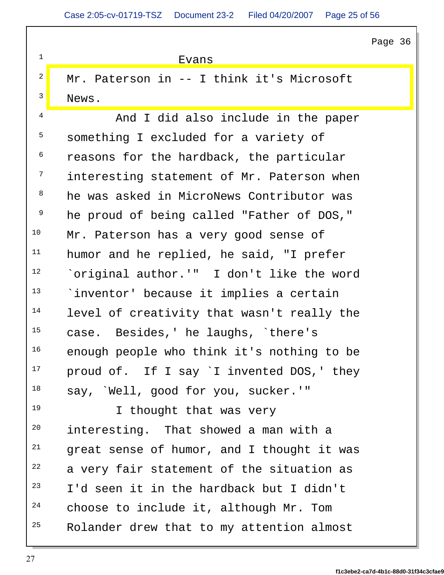Page 36  $\parallel$ 

|                         |                                            | Page 36 |
|-------------------------|--------------------------------------------|---------|
|                         | Evans                                      |         |
|                         | Mr. Paterson in -- I think it's Microsoft  |         |
| $\overline{\mathbf{3}}$ | News.                                      |         |
|                         | And I did also include in the paper        |         |
| 5                       | something I excluded for a variety of      |         |
| - 6                     | reasons for the hardback, the particular   |         |
| $\overline{7}$          | interesting statement of Mr. Paterson when |         |
|                         | he was asked in MicroNews Contributor was  |         |
|                         | he proud of being called "Father of DOS,"  |         |
| 10                      | Mr. Paterson has a very good sense of      |         |
| 11                      | humor and he replied, he said, "I prefer   |         |
| 12                      | `original author.'" I don't like the word  |         |
| 13                      | 'inventor' because it implies a certain    |         |
| 14                      | level of creativity that wasn't really the |         |
| 15                      | case. Besides, ' he laughs, 'there's       |         |
| 16                      | enough people who think it's nothing to be |         |
| 17                      | proud of. If I say 'I invented DOS,' they  |         |
| 18                      | say, `Well, good for you, sucker.'"        |         |
| 19                      | I thought that was very                    |         |
| 20                      | interesting. That showed a man with a      |         |
| 21                      | great sense of humor, and I thought it was |         |
| 22                      | a very fair statement of the situation as  |         |
| 23                      | I'd seen it in the hardback but I didn't   |         |
| 24                      | choose to include it, although Mr. Tom     |         |
| 25                      | Rolander drew that to my attention almost  |         |
|                         |                                            |         |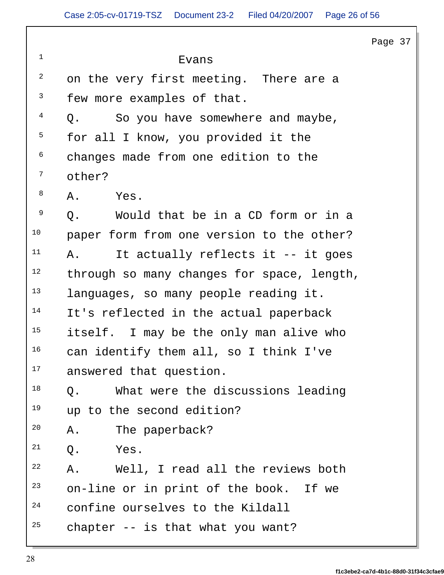|                         | Page 37                                    |  |
|-------------------------|--------------------------------------------|--|
| $\mathbf{1}$            | Evans                                      |  |
| $\overline{a}$          | on the very first meeting. There are a     |  |
| $\overline{\mathbf{3}}$ | few more examples of that.                 |  |
| 4                       | So you have somewhere and maybe,<br>Q.     |  |
| 5 <sup>5</sup>          | for all I know, you provided it the        |  |
| 6                       | changes made from one edition to the       |  |
| $7\overline{ }$         | other?                                     |  |
| 8                       | Yes.<br>Α.                                 |  |
| 9                       | Q.<br>Would that be in a CD form or in a   |  |
| 10                      | paper form from one version to the other?  |  |
| 11                      | It actually reflects it -- it goes<br>Α.   |  |
| 12                      | through so many changes for space, length, |  |
| 13                      | languages, so many people reading it.      |  |
| 14                      | It's reflected in the actual paperback     |  |
| 15                      | itself. I may be the only man alive who    |  |
| 16                      | can identify them all, so I think I've     |  |
| 17                      | answered that question.                    |  |
| 18                      | What were the discussions leading<br>Q.    |  |
| 19                      | up to the second edition?                  |  |
| 20                      | The paperback?<br>Α.                       |  |
| 21                      | Q.<br>Yes.                                 |  |
| 22                      | Well, I read all the reviews both<br>Α.    |  |
| 23                      | on-line or in print of the book. If we     |  |
| 24                      | confine ourselves to the Kildall           |  |
| 25                      | chapter -- is that what you want?          |  |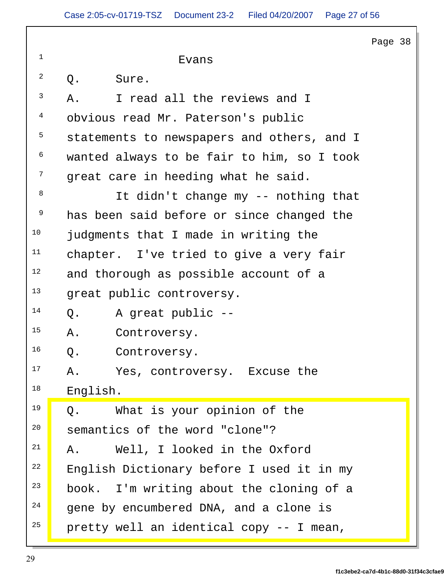|                              | Page $38$                                  |
|------------------------------|--------------------------------------------|
|                              | Evans                                      |
| $\overline{a}$               | Q.<br>Sure.                                |
| $\overline{\mathbf{3}}$      | I read all the reviews and I<br>Α.         |
| $\overline{4}$               | obvious read Mr. Paterson's public         |
| $5\overline{)}$              | statements to newspapers and others, and I |
| $6\overline{6}$              | wanted always to be fair to him, so I took |
| $7\phantom{.0}\phantom{.0}7$ | great care in heeding what he said.        |
|                              | It didn't change my -- nothing that        |
| 9                            | has been said before or since changed the  |
| 10                           | judgments that I made in writing the       |
| 11                           | chapter. I've tried to give a very fair    |
| 12                           | and thorough as possible account of a      |
| 13                           | great public controversy.                  |
| 14                           | Q.<br>A great public --                    |
| 15                           | Α.<br>Controversy.                         |
| 16                           | Q.<br>Controversy.                         |
| 17                           | Yes, controversy. Excuse the<br>Α.         |
| 18                           | English.                                   |
| 19                           | What is your opinion of the<br>Q.          |
| 20                           | semantics of the word "clone"?             |
| 21                           | Well, I looked in the Oxford<br>Α.         |
| 22                           | English Dictionary before I used it in my  |
| 23                           | book. I'm writing about the cloning of a   |
| 24                           | gene by encumbered DNA, and a clone is     |
| 25                           | pretty well an identical copy -- I mean,   |

 $\mathbf l$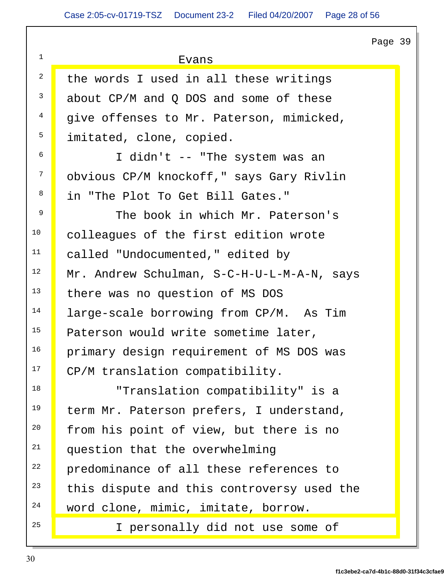|                |                                            | Page 39 |
|----------------|--------------------------------------------|---------|
|                | Evans                                      |         |
|                | the words I used in all these writings     |         |
|                | about CP/M and Q DOS and some of these     |         |
| $\overline{4}$ | give offenses to Mr. Paterson, mimicked,   |         |
| 5 <sup>5</sup> | imitated, clone, copied.                   |         |
|                | I didn't -- "The system was an             |         |
|                | obvious CP/M knockoff," says Gary Rivlin   |         |
| 8 <sup>8</sup> | in "The Plot To Get Bill Gates."           |         |
| - 9            | The book in which Mr. Paterson's           |         |
| 10             | colleagues of the first edition wrote      |         |
| 11             | called "Undocumented," edited by           |         |
| 12             | Mr. Andrew Schulman, S-C-H-U-L-M-A-N, says |         |
| 13             | there was no question of MS DOS            |         |
| 14             | large-scale borrowing from CP/M. As Tim    |         |
| 15             | Paterson would write sometime later,       |         |
| 16             | primary design requirement of MS DOS was   |         |
| 17             | CP/M translation compatibility.            |         |
| 18             | "Translation compatibility" is a           |         |
| 19             | term Mr. Paterson prefers, I understand,   |         |
| 20             | from his point of view, but there is no    |         |
| 21             | question that the overwhelming             |         |
| 22             | predominance of all these references to    |         |
| 23             | this dispute and this controversy used the |         |
| 24             | word clone, mimic, imitate, borrow.        |         |
| 25             | I personally did not use some of           |         |

 $\Gamma$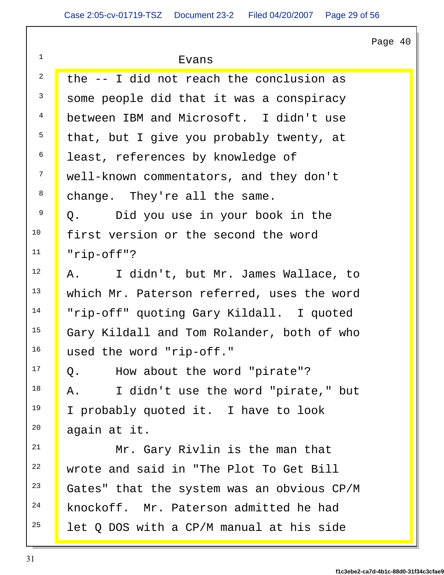|    | Page 40                                    |
|----|--------------------------------------------|
|    | Evans                                      |
|    | the -- I did not reach the conclusion as   |
|    | some people did that it was a conspiracy   |
|    | between IBM and Microsoft. I didn't use    |
|    | that, but I give you probably twenty, at   |
|    | least, references by knowledge of          |
|    | well-known commentators, and they don't    |
|    | change. They're all the same.              |
|    | Did you use in your book in the<br>Q.      |
| 10 | first version or the second the word       |
| 11 | "rip-off"?                                 |
| 12 | I didn't, but Mr. James Wallace, to<br>Α.  |
| 13 | which Mr. Paterson referred, uses the word |
| 14 | "rip-off" quoting Gary Kildall. I quoted   |
| 15 | Gary Kildall and Tom Rolander, both of who |
|    | $16$ used the word "rip-off."              |
| 17 | How about the word "pirate"?<br>Q.         |
| 18 | I didn't use the word "pirate," but<br>Α.  |
| 19 | I probably quoted it. I have to look       |
| 20 | again at it.                               |
| 21 | Mr. Gary Rivlin is the man that            |
| 22 | wrote and said in "The Plot To Get Bill    |
| 23 | Gates" that the system was an obvious CP/M |
| 24 | knockoff. Mr. Paterson admitted he had     |
| 25 | let Q DOS with a CP/M manual at his side   |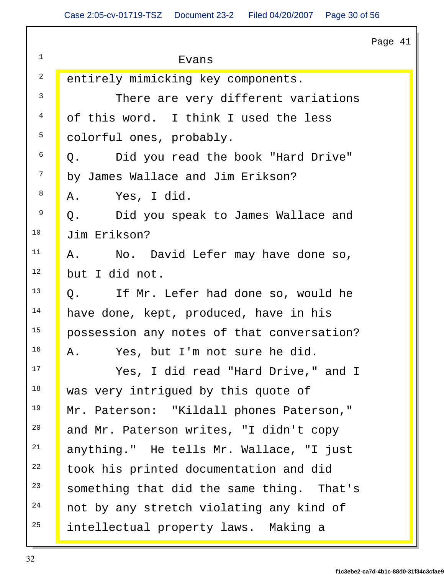|            | Page 41                                    |
|------------|--------------------------------------------|
|            | Evans                                      |
|            | entirely mimicking key components.         |
|            | There are very different variations        |
|            | of this word. I think I used the less      |
|            | colorful ones, probably.                   |
|            | Did you read the book "Hard Drive"<br>Q.   |
|            | by James Wallace and Jim Erikson?          |
|            | Yes, I did.<br>Α.                          |
|            | Did you speak to James Wallace and<br>Q.   |
| 10         | Jim Erikson?                               |
| 11         | No. David Lefer may have done so,<br>Α.    |
| 12         | but I did not.                             |
| 13         | If Mr. Lefer had done so, would he<br>Q.   |
| 14         | have done, kept, produced, have in his     |
| 15         | possession any notes of that conversation? |
|            | $1^{16}$ A. Yes, but I'm not sure he did.  |
| 17         | Yes, I did read "Hard Drive," and I        |
| 18         | was very intrigued by this quote of        |
| 19         | Mr. Paterson: "Kildall phones Paterson,"   |
| $20$       | and Mr. Paterson writes, "I didn't copy    |
| 21         | anything." He tells Mr. Wallace, "I just   |
| 22         | took his printed documentation and did     |
| $\vert$ 23 | something that did the same thing. That's  |
| 24         | not by any stretch violating any kind of   |
| 25         | intellectual property laws. Making a       |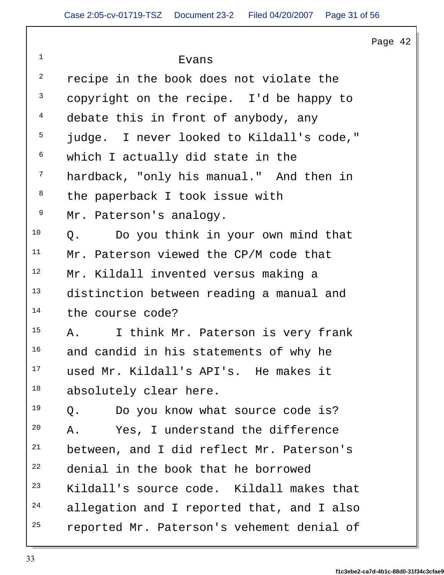|                         |                                            | Page 42 |
|-------------------------|--------------------------------------------|---------|
| $\mathbf{1}$            | Evans                                      |         |
| $\overline{a}$          | recipe in the book does not violate the    |         |
| $\overline{\mathbf{3}}$ | copyright on the recipe. I'd be happy to   |         |
| $4\overline{4}$         | debate this in front of anybody, any       |         |
| 5                       | judge. I never looked to Kildall's code,"  |         |
| 6                       | which I actually did state in the          |         |
| $7\overline{ }$         | hardback, "only his manual." And then in   |         |
| 8 <sup>8</sup>          | the paperback I took issue with            |         |
| 9                       | Mr. Paterson's analogy.                    |         |
| 10                      | Do you think in your own mind that<br>Q.   |         |
| 11                      | Mr. Paterson viewed the CP/M code that     |         |
| 12                      | Mr. Kildall invented versus making a       |         |
| 13                      | distinction between reading a manual and   |         |
| 14                      | the course code?                           |         |
| 15                      | I think Mr. Paterson is very frank<br>Α.   |         |
| 16                      | and candid in his statements of why he     |         |
| 17                      | used Mr. Kildall's API's. He makes it      |         |
| 18                      | absolutely clear here.                     |         |
| 19                      | Q.<br>Do you know what source code is?     |         |
| 20                      | Α.<br>Yes, I understand the difference     |         |
| 21                      | between, and I did reflect Mr. Paterson's  |         |
| 22                      | denial in the book that he borrowed        |         |
| 23                      | Kildall's source code. Kildall makes that  |         |
| 24                      | allegation and I reported that, and I also |         |
| 25                      | reported Mr. Paterson's vehement denial of |         |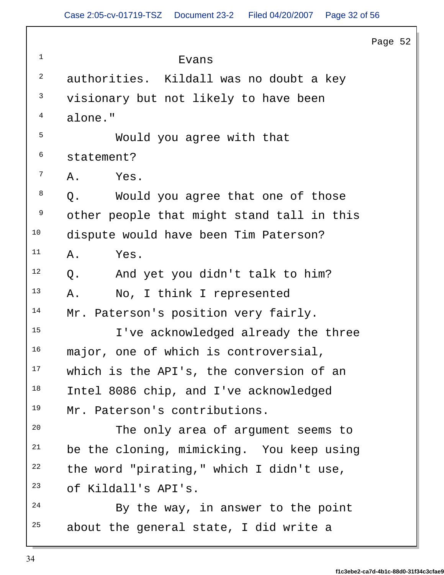|                         |                                            | Page 52 |
|-------------------------|--------------------------------------------|---------|
|                         | Evans                                      |         |
| $\overline{a}$          | authorities. Kildall was no doubt a key    |         |
| $\overline{\mathbf{3}}$ | visionary but not likely to have been      |         |
| $\overline{4}$          | alone."                                    |         |
| $5\overline{)}$         | Would you agree with that                  |         |
| 6                       | statement?                                 |         |
| 7                       | Α.<br>Yes.                                 |         |
| 8                       | Would you agree that one of those<br>Q.    |         |
| 9                       | other people that might stand tall in this |         |
| 10                      | dispute would have been Tim Paterson?      |         |
| 11                      | Α.<br>Yes.                                 |         |
| 12                      | Q.<br>And yet you didn't talk to him?      |         |
| 13                      | Α.<br>No, I think I represented            |         |
| 14                      | Mr. Paterson's position very fairly.       |         |
| 15                      | I've acknowledged already the three        |         |
| 16                      | major, one of which is controversial,      |         |
| 17                      | which is the API's, the conversion of an   |         |
| 18                      | Intel 8086 chip, and I've acknowledged     |         |
| 19                      | Mr. Paterson's contributions.              |         |
| 20                      | The only area of argument seems to         |         |
| 21                      | be the cloning, mimicking. You keep using  |         |
| 22                      | the word "pirating," which I didn't use,   |         |
| 23                      | of Kildall's API's.                        |         |
| 24                      | By the way, in answer to the point         |         |
| 25                      | about the general state, I did write a     |         |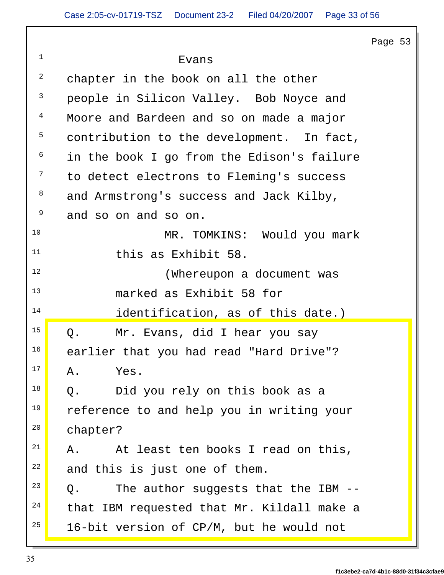|                         |                                            | Page $53$ |
|-------------------------|--------------------------------------------|-----------|
|                         | Evans                                      |           |
| $\overline{c}$          | chapter in the book on all the other       |           |
| $\overline{\mathbf{3}}$ | people in Silicon Valley. Bob Noyce and    |           |
| $\overline{4}$          | Moore and Bardeen and so on made a major   |           |
| $5\overline{)}$         | contribution to the development. In fact,  |           |
| 6                       | in the book I go from the Edison's failure |           |
|                         | to detect electrons to Fleming's success   |           |
| 8 <sup>8</sup>          | and Armstrong's success and Jack Kilby,    |           |
| 9                       | and so on and so on.                       |           |
| 10                      | MR. TOMKINS:<br>Would you mark             |           |
| 11                      | this as Exhibit 58.                        |           |
| 12                      | (Whereupon a document was                  |           |
| 13                      | marked as Exhibit 58 for                   |           |
| 14                      | identification, as of this date.)          |           |
| 15                      | Mr. Evans, did I hear you say<br>Q.        |           |
| 16                      | earlier that you had read "Hard Drive"?    |           |
| 17                      | Α.<br>Yes.                                 |           |
| 18                      | Did you rely on this book as a<br>Q.       |           |
| 19                      | reference to and help you in writing your  |           |
| 20                      | chapter?                                   |           |
| 21                      | At least ten books I read on this,<br>Α.   |           |
| 22                      | and this is just one of them.              |           |
| 23                      | The author suggests that the IBM --<br>Q.  |           |
| 24                      | that IBM requested that Mr. Kildall make a |           |
| 25                      | 16-bit version of CP/M, but he would not   |           |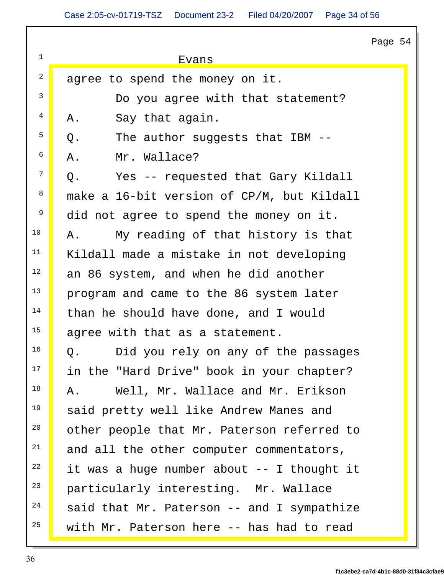|                                    | Page 54                                    |
|------------------------------------|--------------------------------------------|
|                                    | Evans                                      |
| $\overline{a}$                     | agree to spend the money on it.            |
| $\begin{array}{c c} 3 \end{array}$ | Do you agree with that statement?          |
| $\overline{4}$                     | Α.<br>Say that again.                      |
| 5 <sup>1</sup>                     | The author suggests that IBM --<br>Q.      |
| 6                                  | Mr. Wallace?<br>Α.                         |
| $7 \mid$                           | Q.<br>Yes -- requested that Gary Kildall   |
| 8                                  | make a 16-bit version of CP/M, but Kildall |
| $\begin{array}{c c} 9 \end{array}$ | did not agree to spend the money on it.    |
| 10                                 | My reading of that history is that<br>Α.   |
| 11                                 | Kildall made a mistake in not developing   |
| 12                                 | an 86 system, and when he did another      |
| 13                                 | program and came to the 86 system later    |
| 14                                 | than he should have done, and I would      |
| 15                                 | agree with that as a statement.            |
| 16                                 | Q.<br>Did you rely on any of the passages  |
| 17                                 | in the "Hard Drive" book in your chapter?  |
| 18                                 | Well, Mr. Wallace and Mr. Erikson<br>Α.    |
| 19                                 | said pretty well like Andrew Manes and     |
| 20                                 | other people that Mr. Paterson referred to |
| 21                                 | and all the other computer commentators,   |
| 22                                 | it was a huge number about -- I thought it |
| 23                                 | particularly interesting. Mr. Wallace      |
| 24                                 | said that Mr. Paterson -- and I sympathize |
| 25                                 | with Mr. Paterson here -- has had to read  |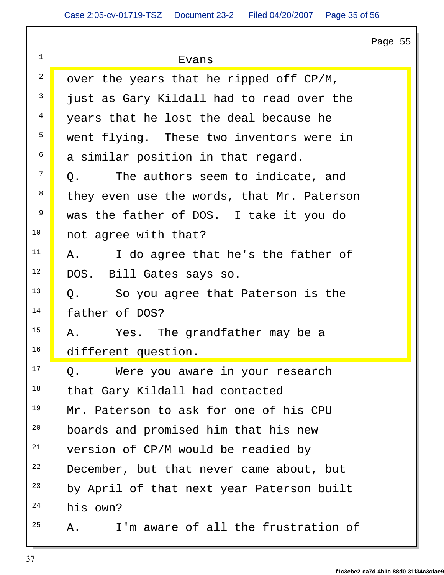Page 55  $\parallel$  $\frac{1}{1}$  and  $\frac{1}{1}$  and  $\frac{1}{1}$  and  $\frac{1}{1}$  and  $\frac{1}{1}$  and  $\frac{1}{1}$  and  $\frac{1}{1}$  and  $\frac{1}{1}$  and  $\frac{1}{1}$  and  $\frac{1}{1}$  and  $\frac{1}{1}$  and  $\frac{1}{1}$  and  $\frac{1}{1}$  and  $\frac{1}{1}$  and  $\frac{1}{1}$  and  $\frac{1}{1}$  a Evans <sup>2</sup> over the years that he ripped off CP/M, 3 just as Gary Kildall had to read over the <sup>4</sup> years that he lost the deal because he <sup>5</sup> went flying. These two inventors were in Theory <sup>6</sup> a similar position in that regard. <sup>7</sup> Q. The authors seem to indicate, and The The authors seem to indicate, and <sup>8</sup> they even use the words, that Mr. Paterson **the U** 9 was the father of DOS. I take it you do <sup>10</sup> not agree with that?  $11$  A. I do agree that he's the father of <sup>12</sup> DOS. Bill Gates says so.  $13$  Q. So you agree that Paterson is the <sup>14</sup> father of DOS?  $15$  A. Yes. The grandfather may be a <sup>16</sup> different question. <sup>17</sup> Q. Were you aware in your research 18 that Gary Kildall had contacted <sup>19</sup> Mr. Paterson to ask for one of his CPU <sup>20</sup> boards and promised him that his new  $21$  version of CP/M would be readied by  $22$  December, but that never came about, but <sup>23</sup> by April of that next year Paterson built  $2^4$  his own?  $25$  A. I'm aware of all the frustration of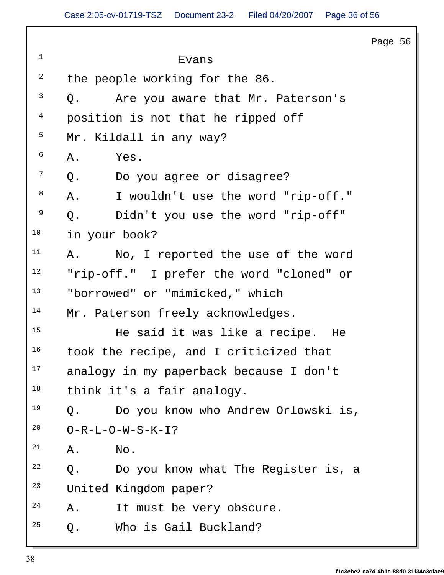|                         |                                           | Page 56 |
|-------------------------|-------------------------------------------|---------|
| $\overline{1}$          | Evans                                     |         |
| $\overline{a}$          | the people working for the 86.            |         |
| $\overline{\mathbf{3}}$ | Q.<br>Are you aware that Mr. Paterson's   |         |
| $4\overline{ }$         | position is not that he ripped off        |         |
| 5 <sup>5</sup>          | Mr. Kildall in any way?                   |         |
| 6                       | Yes.<br><b>A.</b>                         |         |
| $7\overline{ }$         | Do you agree or disagree?<br>Q.           |         |
| 8                       | I wouldn't use the word "rip-off."<br>Α.  |         |
| 9                       | Q.<br>Didn't you use the word "rip-off"   |         |
| 10                      | in your book?                             |         |
| 11                      | No, I reported the use of the word<br>Α.  |         |
| 12                      | "rip-off." I prefer the word "cloned" or  |         |
| 13                      | "borrowed" or "mimicked," which           |         |
| 14                      | Mr. Paterson freely acknowledges.         |         |
| 15                      | He said it was like a recipe. He          |         |
| 16                      | took the recipe, and I criticized that    |         |
| 17                      | analogy in my paperback because I don't   |         |
| 18                      | think it's a fair analogy.                |         |
| 19                      | Do you know who Andrew Orlowski is,<br>Q. |         |
| 20                      | $O-R-L-O-W-S-K-I$ ?                       |         |
| 21                      | $\mathop{\rm No}\nolimits$ .<br>Α.        |         |
| 22                      | Do you know what The Register is, a<br>Q. |         |
| 23                      | United Kingdom paper?                     |         |
| 24                      | It must be very obscure.<br>Α.            |         |
| 25                      | Who is Gail Buckland?<br>Q.               |         |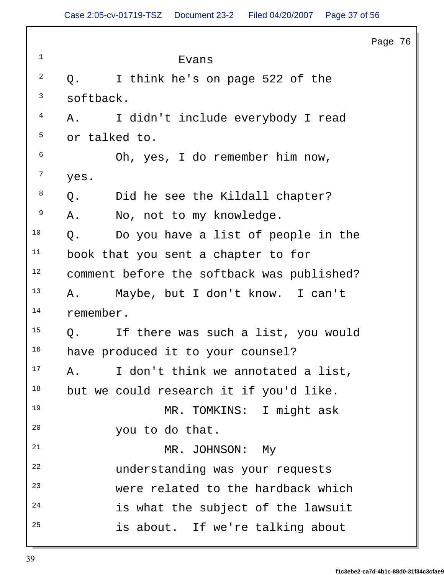|                         | Page 76                                      |
|-------------------------|----------------------------------------------|
| $\overline{1}$          | Evans                                        |
| $\overline{a}$          | I think he's on page 522 of the<br>Q.        |
| $\overline{\mathbf{3}}$ | softback.                                    |
| $\overline{4}$          | I didn't include everybody I read<br>Α.      |
| $5\overline{)}$         | or talked to.                                |
| 6                       | Oh, yes, I do remember him now,              |
|                         | $7$ yes.                                     |
|                         | Q.<br>Did he see the Kildall chapter?        |
| 9                       | No, not to my knowledge.<br>Α.               |
| 10                      | Q.<br>Do you have a list of people in the    |
| 11                      | book that you sent a chapter to for          |
| 12                      | comment before the softback was published?   |
| 13                      | Maybe, but I don't know. I can't<br>Α.       |
| 14                      | remember.                                    |
| 15                      | If there was such a list, you would<br>$Q$ . |
| 16                      | have produced it to your counsel?            |
| 17                      | I don't think we annotated a list,<br>Α.     |
| 18                      | but we could research it if you'd like.      |
| 19                      | MR. TOMKINS: I might ask                     |
| 20                      | you to do that.                              |
| 21                      | MR. JOHNSON: My                              |
| 22                      | understanding was your requests              |
| 23                      | were related to the hardback which           |
| 24                      | is what the subject of the lawsuit           |
| 25                      | is about. If we're talking about             |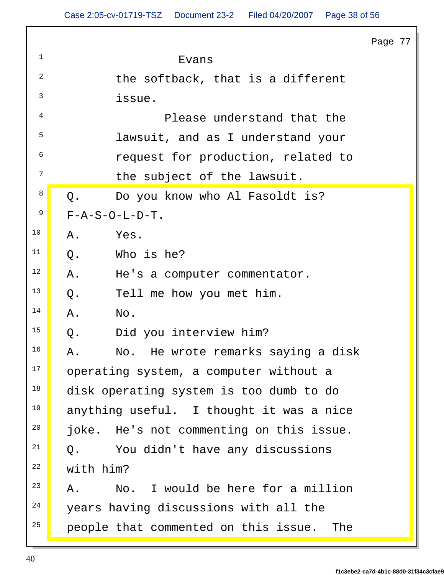|                         |           |                                          | Page 77 |
|-------------------------|-----------|------------------------------------------|---------|
| $\mathbf{1}$            |           | Evans                                    |         |
| $\overline{a}$          |           | the softback, that is a different        |         |
| $\overline{\mathbf{3}}$ |           | issue.                                   |         |
| $\overline{4}$          |           | Please understand that the               |         |
| $5\overline{)}$         |           | lawsuit, and as I understand your        |         |
| 6                       |           | request for production, related to       |         |
| $7\overline{ }$         |           | the subject of the lawsuit.              |         |
| 8                       | Q.        | Do you know who Al Fasoldt is?           |         |
| 9                       |           | $F - A - S - O - L - D - T$ .            |         |
| 10                      | Α.        | Yes.                                     |         |
| 11                      | $Q$ .     | Who is he?                               |         |
| 12                      | Α.        | He's a computer commentator.             |         |
| 13                      | Q.        | Tell me how you met him.                 |         |
| 14                      | Α.        | No.                                      |         |
| 15                      | Q.        | Did you interview him?                   |         |
| 16                      | Α.        | No. He wrote remarks saying a disk       |         |
| 17                      |           | operating system, a computer without a   |         |
| 18 <mark> </mark>       |           | disk operating system is too dumb to do  |         |
| 19 <mark> </mark>       |           | anything useful. I thought it was a nice |         |
| 20                      |           | joke. He's not commenting on this issue. |         |
| 21                      | Q.        | You didn't have any discussions          |         |
| 22                      | with him? |                                          |         |
| 23                      | Α.        | No. I would be here for a million        |         |
| 24                      |           | years having discussions with all the    |         |
| 25                      |           | people that commented on this issue. The |         |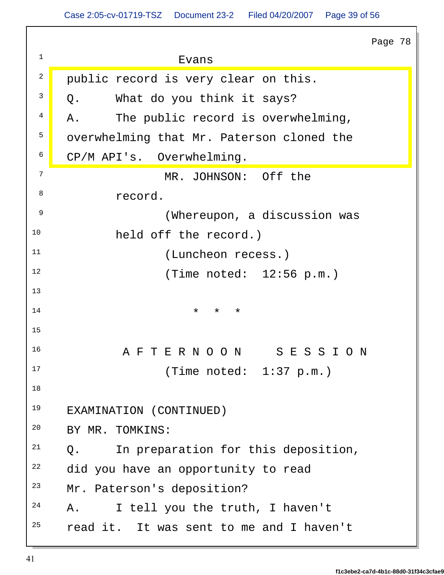Page 78  $\frac{1}{1}$  and  $\frac{1}{1}$  and  $\frac{1}{1}$  and  $\frac{1}{1}$  and  $\frac{1}{1}$  and  $\frac{1}{1}$  and  $\frac{1}{1}$  and  $\frac{1}{1}$  and  $\frac{1}{1}$  and  $\frac{1}{1}$  and  $\frac{1}{1}$  and  $\frac{1}{1}$  and  $\frac{1}{1}$  and  $\frac{1}{1}$  and  $\frac{1}{1}$  and  $\frac{1}{1}$  a Evans <sup>2</sup> public record is very clear on this. <sup>3</sup> Q. What do you think it says? <sup>4</sup> A. The public record is overwhelming, The state of the second is overwhelming, <sup>5</sup> overwhelming that Mr. Paterson cloned the the solution of  $\begin{array}{|c|c|c|c|c|}\hline \end{array}$ 6 CP/M API's. Overwhelming.  $7$  MR TOHNSON: Off the  $\blacksquare$ MR. JOHNSON: Off the the the state of  $\vert$ 8 record. <sup>9</sup> (Whereupon, a discussion was 10 held off the record.) 11 (Luncheon recess.) 12 (Time noted: 12:56 p.m.)  $\overline{13}$ 14 \* \* \*  $15$ <sup>16</sup> A F T E R N O O N S E S S I O N N 17 (Time noted: 1:37 p.m.)  $18$ <sup>19</sup> EXAMINATION (CONTINUED)  $^{20}$  BY MR. TOMKINS:  $\qquad \qquad \qquad \Box$  $21$  Q. In preparation for this deposition,  $22$  did you have an opportunity to read <sup>23</sup> Mr. Paterson's deposition?  $24$  A. I tell you the truth, I haven't  $25$  read it. It was sent to me and I haven't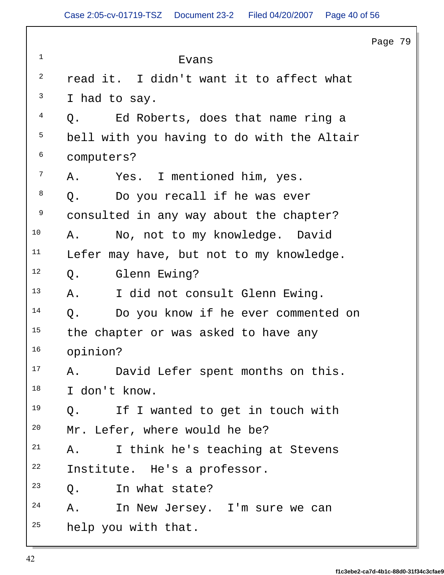|                         |          |                                            | Page 79 |
|-------------------------|----------|--------------------------------------------|---------|
| $\mathbf{1}$            |          | Evans                                      |         |
| $\overline{a}$          |          | read it. I didn't want it to affect what   |         |
| $\overline{\mathbf{3}}$ |          | I had to say.                              |         |
| $4\overline{ }$         | $Q$ .    | Ed Roberts, does that name ring a          |         |
| $5\overline{)}$         |          | bell with you having to do with the Altair |         |
| 6                       |          | computers?                                 |         |
| $7\phantom{.0}$         | Α.       | Yes. I mentioned him, yes.                 |         |
| 8                       | Q.       | Do you recall if he was ever               |         |
| 9                       |          | consulted in any way about the chapter?    |         |
| 10                      | Α.       | No, not to my knowledge. David             |         |
| 11                      |          | Lefer may have, but not to my knowledge.   |         |
| 12                      | Q.       | Glenn Ewing?                               |         |
| 13                      | Α.       |                                            |         |
| 14                      |          | I did not consult Glenn Ewing.             |         |
|                         | Q.       | Do you know if he ever commented on        |         |
| 15                      |          | the chapter or was asked to have any       |         |
| 16                      | opinion? |                                            |         |
| 17                      | A.       | David Lefer spent months on this.          |         |
| 18                      |          | I don't know.                              |         |
| 19                      | Q.       | If I wanted to get in touch with           |         |
| 20                      |          | Mr. Lefer, where would he be?              |         |
| 21                      | Α.       | I think he's teaching at Stevens           |         |
| 22                      |          | Institute. He's a professor.               |         |
| 23                      | Q.       | In what state?                             |         |
| 24                      | Α.       | In New Jersey. I'm sure we can             |         |
| 25                      |          | help you with that.                        |         |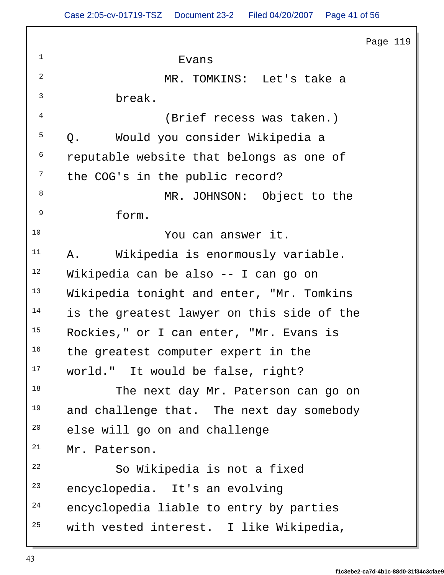Page 119  $\frac{1}{1}$  and  $\frac{1}{1}$  and  $\frac{1}{1}$  and  $\frac{1}{1}$  and  $\frac{1}{1}$  and  $\frac{1}{1}$  and  $\frac{1}{1}$  and  $\frac{1}{1}$  and  $\frac{1}{1}$  and  $\frac{1}{1}$  and  $\frac{1}{1}$  and  $\frac{1}{1}$  and  $\frac{1}{1}$  and  $\frac{1}{1}$  and  $\frac{1}{1}$  and  $\frac{1}{1}$  a Evans <sup>2</sup> MR. TOMKINS: Let's take a  $3 \overline{ }$  break. 4 (Brief recess was taken.) 5 Q. Would you consider Wikipedia a  $^6$  reputable website that belongs as one of  $\qquad \qquad \mid$ <sup>7</sup> the COG's in the public record?  $\frac{8}{100}$  MR JOHNSON: Object to the MR. JOHNSON: Object to the The National MR. In the Solid Management of  $\vert$  $\frac{9}{9}$  form  $\frac{1}{9}$ form. 10 Nou can answer it. <sup>11</sup> A. Wikipedia is enormously variable.  $12$  Wikipedia can be also -- I can go on <sup>13</sup> Wikipedia tonight and enter, "Mr. Tomkins 14 is the greatest lawyer on this side of the 15 Rockies," or I can enter, "Mr. Evans is <sup>16</sup> the greatest computer expert in the <sup>17</sup> world." It would be false, right? 18 The next day Mr. Paterson can go on <sup>19</sup> and challenge that. The next day somebody <sup>20</sup> else will go on and challenge  $21$  Mr. Paterson. 22 So Wikipedia is not a fixed <sup>23</sup> encyclopedia. It's an evolving  $24$  encyclopedia liable to entry by parties  $25$  with vested interest. I like Wikipedia,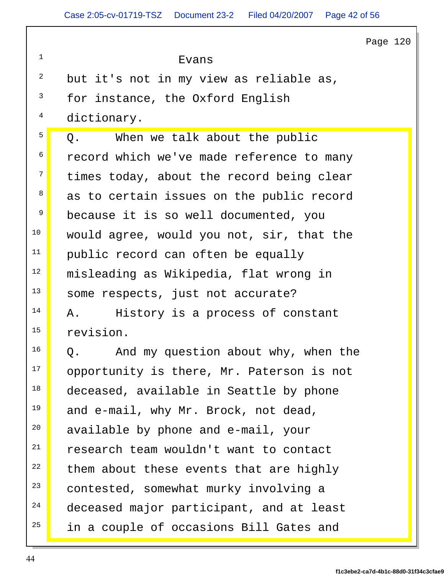|             | Page 120                                  |
|-------------|-------------------------------------------|
|             | Evans                                     |
|             | but it's not in my view as reliable as,   |
|             | for instance, the Oxford English          |
|             | dictionary.                               |
|             | When we talk about the public<br>Q.       |
|             | record which we've made reference to many |
|             | times today, about the record being clear |
|             | as to certain issues on the public record |
|             | because it is so well documented, you     |
| 10          | would agree, would you not, sir, that the |
| 11          | public record can often be equally        |
| 12          | misleading as Wikipedia, flat wrong in    |
| 13          | some respects, just not accurate?         |
| 14          | Α.                                        |
| 15          | History is a process of constant          |
| 16          | revision.                                 |
|             | Q. And my question about why, when the    |
| 17          | opportunity is there, Mr. Paterson is not |
| 18          | deceased, available in Seattle by phone   |
| 19          | and e-mail, why Mr. Brock, not dead,      |
| 20          | available by phone and e-mail, your       |
| 21          | research team wouldn't want to contact    |
| 22          | them about these events that are highly   |
| $\vert$ 23  | contested, somewhat murky involving a     |
| $\sqrt{24}$ | deceased major participant, and at least  |
| 25          | in a couple of occasions Bill Gates and   |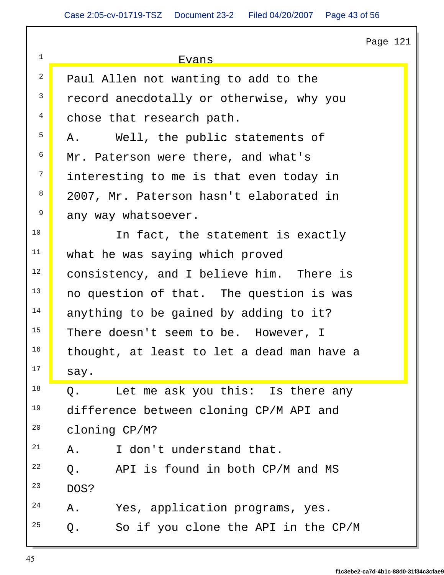|            | Page $121$                                          |
|------------|-----------------------------------------------------|
|            | Evans                                               |
|            | Paul Allen not wanting to add to the                |
|            | record anecdotally or otherwise, why you            |
|            | chose that research path.                           |
|            | Well, the public statements of<br>Α.                |
|            | Mr. Paterson were there, and what's                 |
|            | interesting to me is that even today in             |
|            | 2007, Mr. Paterson hasn't elaborated in             |
|            | any way whatsoever.                                 |
| 10         | In fact, the statement is exactly                   |
| 11         | what he was saying which proved                     |
| 12         | consistency, and I believe him. There is            |
| $\vert$ 13 | no question of that. The question is was            |
| 14         | anything to be gained by adding to it?              |
| 15         | There doesn't seem to be. However, I                |
|            | $1^{16}$ thought, at least to let a dead man have a |
| 17         | say.                                                |
| 18         | Let me ask you this: Is there any<br>Q.             |
| 19         | difference between cloning CP/M API and             |
| 20         | cloning CP/M?                                       |
| 21         | I don't understand that.<br>Α.                      |
| 22         | API is found in both CP/M and MS<br>Q.              |
| 23         | DOS?                                                |
| 24         | Yes, application programs, yes.<br>Α.               |
| 25         | So if you clone the API in the CP/M<br>Q.           |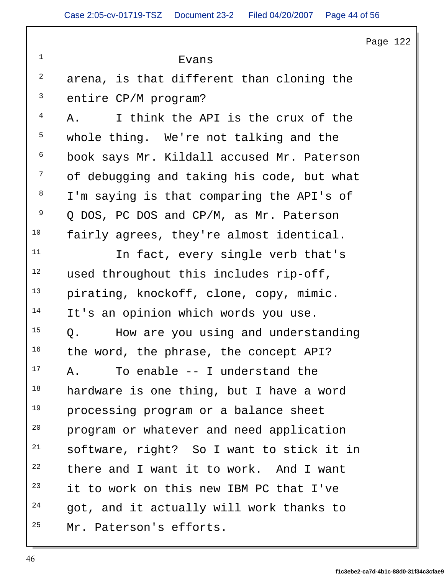Page 122

|                         | Evans                                          |  |
|-------------------------|------------------------------------------------|--|
| $\overline{a}$          | arena, is that different than cloning the      |  |
| $\overline{\mathbf{3}}$ | entire CP/M program?                           |  |
| $\overline{4}$          | I think the API is the crux of the<br>Α.       |  |
| 5 <sup>5</sup>          | whole thing. We're not talking and the         |  |
| 6                       | book says Mr. Kildall accused Mr. Paterson     |  |
| $7\overline{ }$         | of debugging and taking his code, but what     |  |
| 8 <sup>8</sup>          | I'm saying is that comparing the API's of      |  |
| 9                       | Q DOS, PC DOS and CP/M, as Mr. Paterson        |  |
| 10                      | fairly agrees, they're almost identical.       |  |
| 11                      | In fact, every single verb that's              |  |
| 12                      | used throughout this includes rip-off,         |  |
| 13                      | pirating, knockoff, clone, copy, mimic.        |  |
| 14                      | It's an opinion which words you use.           |  |
| 15                      | $Q$ .<br>How are you using and understanding   |  |
| 16                      | the word, the phrase, the concept API?         |  |
|                         | <sup>17</sup> A. To enable -- I understand the |  |
| 18                      | hardware is one thing, but I have a word       |  |
| 19                      | processing program or a balance sheet          |  |
| 20                      | program or whatever and need application       |  |
| 21                      | software, right? So I want to stick it in      |  |
| 22                      | there and I want it to work. And I want        |  |
| 23                      | it to work on this new IBM PC that I've        |  |
| 24                      | got, and it actually will work thanks to       |  |
| 25                      | Mr. Paterson's efforts.                        |  |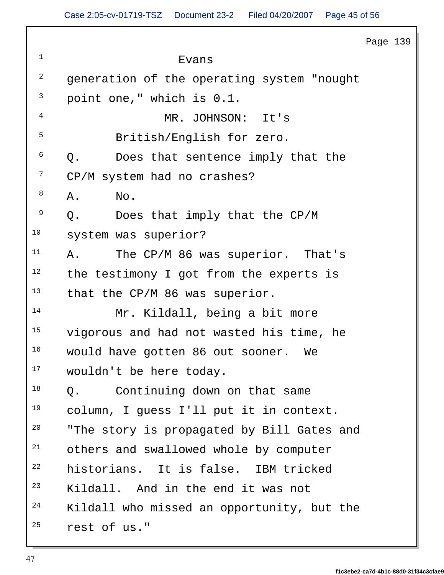|                         | Page 139                                          |
|-------------------------|---------------------------------------------------|
| $\mathbf{1}$            | Evans                                             |
| $\overline{a}$          | generation of the operating system "nought        |
| $\overline{\mathbf{3}}$ | point one," which is 0.1.                         |
| $4\overline{ }$         | MR. JOHNSON: It's                                 |
| 5 <sup>5</sup>          | British/English for zero.                         |
|                         | $6Q$ .<br>Does that sentence imply that the       |
| $7\overline{ }$         | CP/M system had no crashes?                       |
| 8                       | <b>A.</b><br>$\mathrm{No}$ .                      |
|                         | Q.<br>Does that imply that the CP/M               |
| 10                      | system was superior?                              |
| 11                      | The CP/M 86 was superior. That's<br>Α.            |
| 12                      | the testimony I got from the experts is           |
| 13                      | that the CP/M 86 was superior.                    |
| 14                      | Mr. Kildall, being a bit more                     |
| 15                      | vigorous and had not wasted his time, he          |
|                         | <sup>16</sup> would have gotten 86 out sooner. We |
| 17                      | wouldn't be here today.                           |
| 18                      | Continuing down on that same<br>Q.                |
| 19                      | column, I guess I'll put it in context.           |
| 20                      | "The story is propagated by Bill Gates and        |
| 21                      | others and swallowed whole by computer            |
| 22                      | historians. It is false. IBM tricked              |
| 23                      | Kildall. And in the end it was not                |
| 24                      | Kildall who missed an opportunity, but the        |
| 25                      | rest of us."                                      |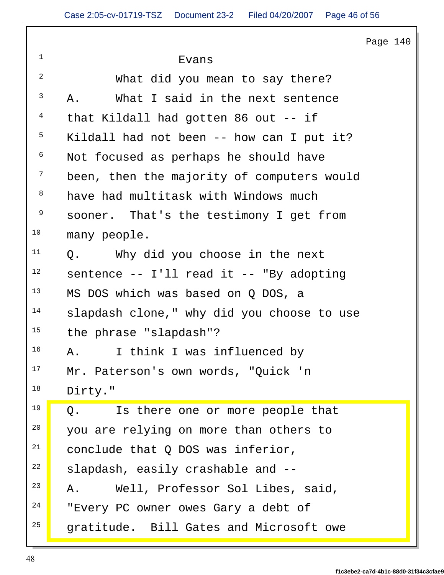|                         | Page $140$                                 |
|-------------------------|--------------------------------------------|
|                         | Evans                                      |
| $\overline{a}$          | What did you mean to say there?            |
| $\overline{\mathbf{3}}$ | A.<br>What I said in the next sentence     |
| $4\overline{ }$         | that Kildall had gotten 86 out -- if       |
| $5\overline{)}$         | Kildall had not been -- how can I put it?  |
| 6                       | Not focused as perhaps he should have      |
| $\overline{7}$          | been, then the majority of computers would |
| 8 <sup>8</sup>          | have had multitask with Windows much       |
| 9                       | sooner. That's the testimony I get from    |
| 10                      | many people.                               |
| 11                      | Why did you choose in the next<br>Q.       |
| 12                      | sentence -- I'll read it -- "By adopting   |
| 13                      | MS DOS which was based on Q DOS, a         |
| 14                      | slapdash clone," why did you choose to use |
| 15                      | the phrase "slapdash"?                     |
| 16                      | I think I was influenced by<br>Α.          |
| 17                      | Mr. Paterson's own words, "Quick 'n        |
| 18                      | Dirty."                                    |
| 19                      | Q.<br>Is there one or more people that     |
| 20                      | you are relying on more than others to     |
| 21                      | conclude that Q DOS was inferior,          |
| 22                      | slapdash, easily crashable and --          |
| 23                      | Well, Professor Sol Libes, said,<br>Α.     |
| 24                      | "Every PC owner owes Gary a debt of        |
| 25                      | gratitude. Bill Gates and Microsoft owe    |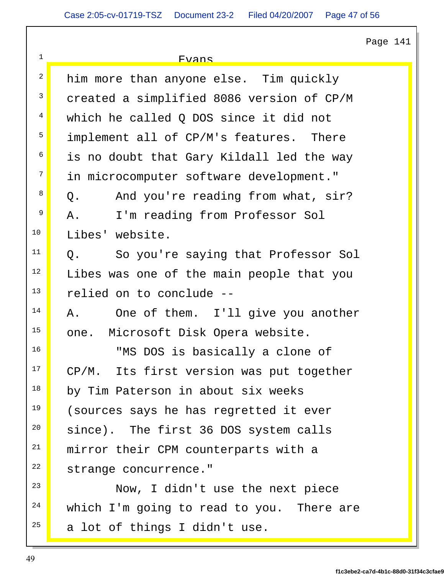Page 141  $\frac{1}{1}$  and  $\frac{1}{1}$  and  $\frac{1}{1}$  and  $\frac{1}{1}$  and  $\frac{1}{1}$  and  $\frac{1}{1}$  and  $\frac{1}{1}$  and  $\frac{1}{1}$  and  $\frac{1}{1}$  and  $\frac{1}{1}$  and  $\frac{1}{1}$  and  $\frac{1}{1}$  and  $\frac{1}{1}$  and  $\frac{1}{1}$  and  $\frac{1}{1}$  and  $\frac{1}{1}$  a evans de la constitución de la <mark>Evans de la constitución de la constitución de la</mark> constitución de la constitució <sup>2</sup> him more than anyone else. Tim quickly show that a set of  $\begin{array}{|c|c|c|c|c|}\hline \text{ } & \text{ } & \text{ } \end{array}$ <sup>3</sup> created a simplified 8086 version of CP/M and a simplified 8086 version of CP/M <sup>4</sup> which he called Q DOS since it did not <sup>5</sup> implement all of CP/M's features. There the setting of  $\begin{array}{|c|c|c|c|c|}\hline \end{array}$ 6 is no doubt that Gary Kildall led the way <sup>7</sup> in microcomputer software development." The solution of  $\begin{array}{|c|c|c|c|}\hline \text{ } & \text{ } & \text{ } \end{array}$ <sup>8</sup> Q. And you're reading from what, sir? <sup>9</sup> A. I'm reading from Professor Sol **Bullet I** <sup>10</sup> Libes' website. The set of the set of the set of the set of the set of the set of the set of the set of the set of the set of the set of the set of the set of the set of the set of the set of the set of the set of the  $11$  Q. So you're saying that Professor Sol  $12$  Libes was one of the main people that you <sup>13</sup> relied on to conclude --<sup>14</sup> A. One of them. I'll give you another the set of the set of the set of the set of the set of the set of the s <sup>15</sup> one. Microsoft Disk Opera website. <sup>16</sup> "MS DOS is basically a clone of <sup>17</sup> CP/M. Its first version was put together <sup>18</sup> by Tim Paterson in about six weeks  $19$  (sources says he has regretted it ever  $20$  since). The first 36 DOS system calls <sup>21</sup> mirror their CPM counterparts with a <sup>22</sup> strange concurrence." The strange of  $\blacksquare$ <sup>23</sup> Now, I didn't use the next piece  $24$  which I'm going to read to you. There are  $25$  a lot of things I didn't use.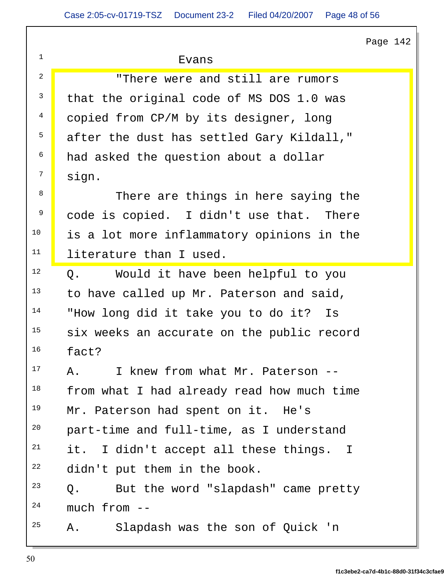Page 142

## $\frac{1}{1}$  and  $\frac{1}{1}$  and  $\frac{1}{1}$  and  $\frac{1}{1}$  and  $\frac{1}{1}$  and  $\frac{1}{1}$  and  $\frac{1}{1}$  and  $\frac{1}{1}$  and  $\frac{1}{1}$  and  $\frac{1}{1}$  and  $\frac{1}{1}$  and  $\frac{1}{1}$  and  $\frac{1}{1}$  and  $\frac{1}{1}$  and  $\frac{1}{1}$  and  $\frac{1}{1}$  a

 Evans <sup>2</sup> There were and still are rumors and  $\vert$ <sup>3</sup> that the original code of MS DOS 1.0 was the set of <sup>4</sup> copied from CP/M by its designer, long and a set of the copied from CP/M by its designer, long <sup>5</sup> after the dust has settled Gary Kildall," I 6 had asked the question about a dollar <sup>7</sup> sian luated to the set of the set of the set of the set of the set of the set of the set of the set of the set of the set of the set of the set of the set of the set of the set of the set of the set of the set of the s sign. And the state of the state of the state of the state of the state of the state of the state of the state o 8 There are things in here saying the 9 code is copied. I didn't use that. There <sup>10</sup> is a lot more inflammatory opinions in the <sup>11</sup> literature than I used. The same of the set of  $\vert$  $12$  Q. Would it have been helpful to you  $13$  to have called up Mr. Paterson and said, <sup>14</sup> "How long did it take you to do it? Is <sup>15</sup> six weeks an accurate on the public record  $16$  fact? <sup>17</sup> A. I knew from what Mr. Paterson --  $18$  from what I had already read how much time <sup>19</sup> Mr. Paterson had spent on it. He's  $20$  part-time and full-time, as I understand  $21$  it. I didn't accept all these things. I  $22$  didn't put them in the book.  $23$  Q. But the word "slapdash" came pretty  $2^4$  much from  $--$ <sup>25</sup> A. Slapdash was the son of Quick 'n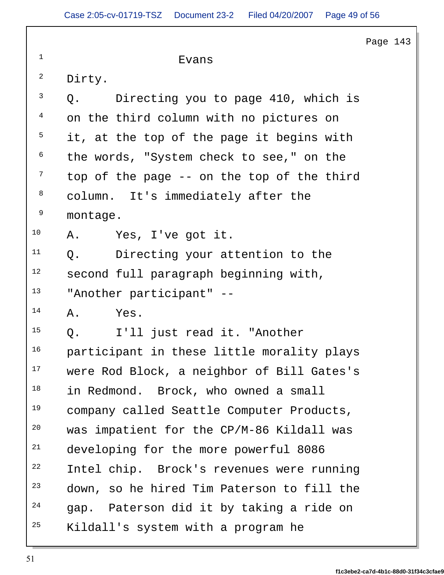|                         | Page 143                                   |
|-------------------------|--------------------------------------------|
| $\mathbf{1}$            | Evans                                      |
| $\overline{a}$          | Dirty.                                     |
| $\overline{\mathbf{3}}$ | Directing you to page 410, which is<br>Q.  |
| $\overline{4}$          | on the third column with no pictures on    |
| $5\overline{)}$         | it, at the top of the page it begins with  |
| 6                       | the words, "System check to see," on the   |
| $7\overline{ }$         | top of the page -- on the top of the third |
| 8 <sup>8</sup>          | column. It's immediately after the         |
| 9                       | montage.                                   |
| 10                      | Yes, I've got it.<br>Α.                    |
| 11                      | Q.<br>Directing your attention to the      |
| 12                      | second full paragraph beginning with,      |
| 13                      | "Another participant" --                   |
| 14                      | Yes.<br>Α.                                 |
| 15                      | Q.<br>I'll just read it. "Another          |
| 16                      | participant in these little morality plays |
| 17                      | were Rod Block, a neighbor of Bill Gates's |
| 18                      | in Redmond. Brock, who owned a small       |
| 19                      | company called Seattle Computer Products,  |
| 20                      | was impatient for the CP/M-86 Kildall was  |
| 21                      | developing for the more powerful 8086      |
| 22                      | Intel chip. Brock's revenues were running  |
| 23                      | down, so he hired Tim Paterson to fill the |
| 24                      | gap. Paterson did it by taking a ride on   |
| 25                      | Kildall's system with a program he         |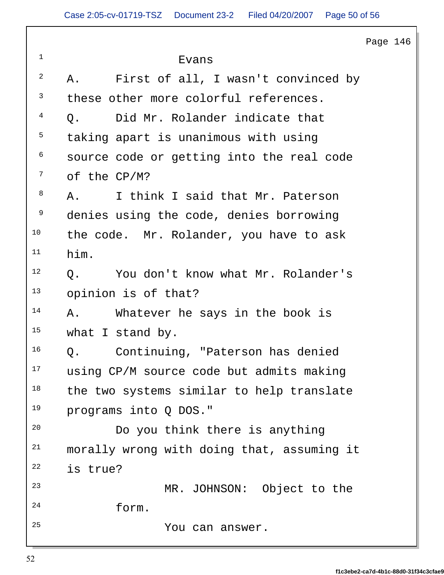|                         | Page $146$                                  |
|-------------------------|---------------------------------------------|
| $\mathbf{1}$            | Evans                                       |
|                         | 2 A.<br>First of all, I wasn't convinced by |
| $\overline{\mathbf{3}}$ | these other more colorful references.       |
| $4\overline{ }$         | Did Mr. Rolander indicate that<br>Q.        |
| $5\overline{)}$         | taking apart is unanimous with using        |
| 6                       | source code or getting into the real code   |
| $7\overline{ }$         | of the CP/M?                                |
| 8                       | I think I said that Mr. Paterson<br>Α.      |
| 9                       | denies using the code, denies borrowing     |
| 10                      | the code. Mr. Rolander, you have to ask     |
| 11                      | him.                                        |
| 12                      | Q.<br>You don't know what Mr. Rolander's    |
| 13                      | opinion is of that?                         |
| 14                      | Whatever he says in the book is<br>Α.       |
| 15                      | what I stand by.                            |
| 16                      | Q.<br>Continuing, "Paterson has denied      |
| 17                      | using CP/M source code but admits making    |
| 18                      | the two systems similar to help translate   |
| 19                      | programs into Q DOS."                       |
| 20                      | Do you think there is anything              |
| 21                      | morally wrong with doing that, assuming it  |
| 22                      | is true?                                    |
| 23                      | MR. JOHNSON: Object to the                  |
| 24                      | form.                                       |
| 25                      | You can answer.                             |
|                         |                                             |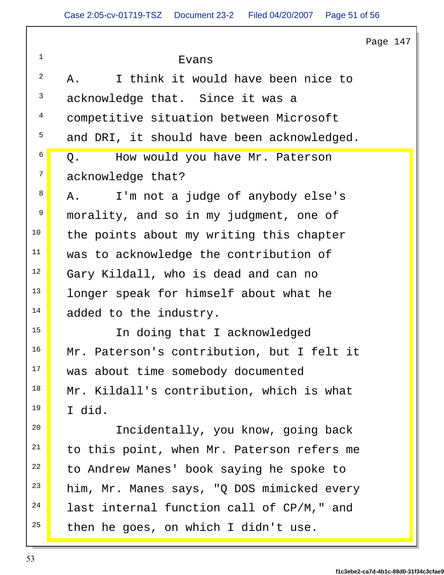|      | Page 147                                   |
|------|--------------------------------------------|
|      | Evans                                      |
|      | I think it would have been nice to<br>Α.   |
|      | acknowledge that. Since it was a           |
|      | competitive situation between Microsoft    |
|      | and DRI, it should have been acknowledged. |
|      | How would you have Mr. Paterson<br>Q.      |
|      | acknowledge that?                          |
|      | I'm not a judge of anybody else's<br>Α.    |
| 9    | morality, and so in my judgment, one of    |
| 10   | the points about my writing this chapter   |
| 11   | was to acknowledge the contribution of     |
| 12   | Gary Kildall, who is dead and can no       |
| $13$ | longer speak for himself about what he     |
| 14   | added to the industry.                     |
| 15   | In doing that I acknowledged               |
| 16   | Mr. Paterson's contribution, but I felt it |
| 17   | was about time somebody documented         |
| 18   | Mr. Kildall's contribution, which is what  |
| 19   | I did.                                     |
| 20   | Incidentally, you know, going back         |
| 21   | to this point, when Mr. Paterson refers me |
| 22   | to Andrew Manes' book saying he spoke to   |
| 23   | him, Mr. Manes says, "Q DOS mimicked every |
| 24   | last internal function call of CP/M," and  |
| 25   | then he goes, on which I didn't use.       |
|      |                                            |

 $\overline{\phantom{a}}$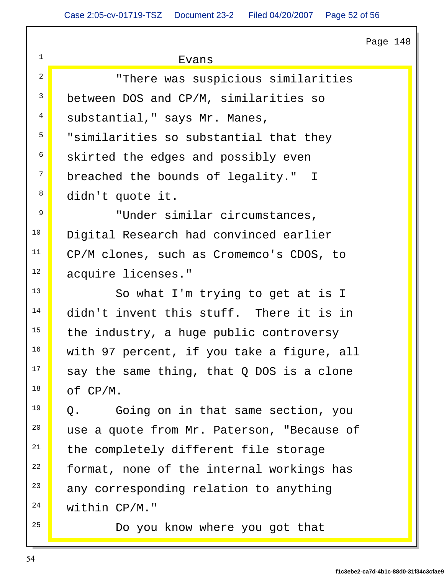| Page 148 $\parallel$ |  |  |  |  |
|----------------------|--|--|--|--|
|                      |  |  |  |  |

#### $\frac{1}{1}$  and  $\frac{1}{1}$  and  $\frac{1}{1}$  and  $\frac{1}{1}$  and  $\frac{1}{1}$  and  $\frac{1}{1}$  and  $\frac{1}{1}$  and  $\frac{1}{1}$  and  $\frac{1}{1}$  and  $\frac{1}{1}$  and  $\frac{1}{1}$  and  $\frac{1}{1}$  and  $\frac{1}{1}$  and  $\frac{1}{1}$  and  $\frac{1}{1}$  and  $\frac{1}{1}$  a evans de la proposition de la proposition de la proposition de la proposition de la proposition de la proposit

<sup>2</sup> There was suspicious similarities and the There was suspicious similarities <sup>3</sup> between DOS and CP/M, similarities so the solution of  $\begin{array}{|c|c|c|c|c|}\hline \textbf{1} & \textbf{2} & \textbf{3} & \textbf{4} & \textbf{5} & \textbf{6} & \textbf{7} & \textbf{8} & \textbf{8} & \textbf{9} & \textbf{10} & \textbf{10} & \textbf{10} & \textbf{10} & \textbf{10} & \textbf{10} & \textbf{10} & \textbf{10} & \textbf{10} & \text$ <sup>4</sup> substantial," says Mr. Manes, which has a substantial,  $\blacksquare$ 5 "similarities so substantial that they <sup>6</sup> skirted the edges and possibly even **the summary of the set of the set of the set of the set of the set of th** <sup>7</sup> breached the bounds of legality." I  $8$  didn't quote it didn't quote it.

<sup>9</sup> Under similar circumstances, Engles of the Union of the Union of the Union of the Union of the Union of the U <sup>10</sup> Digital Research had convinced earlier  $11$  CP/M clones, such as Cromemco's CDOS, to <sup>12</sup> acquire licenses."

 So what I'm trying to get at is I didn't invent this stuff. There it is in the industry, a huge public controversy <sup>16</sup> with 97 percent, if you take a figure, all say the same thing, that Q DOS is a clone  $18$  of CP/M.

 Q. Going on in that same section, you <sup>20</sup> use a quote from Mr. Paterson, "Because of the completely different file storage format, none of the internal workings has any corresponding relation to anything  $2^4$  within CP/M."

<sup>25</sup> Do you know where you got that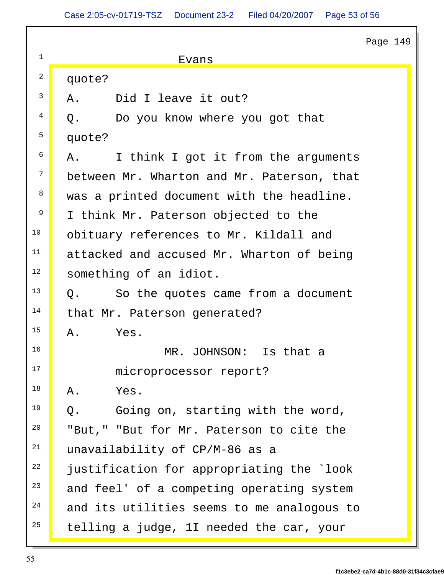|                         | Page 149                                   |
|-------------------------|--------------------------------------------|
|                         | Evans                                      |
| $\overline{a}$          | quote?                                     |
| $\overline{\mathbf{3}}$ | Did I leave it out?<br>Α.                  |
| $\overline{4}$          | Q.<br>Do you know where you got that       |
| 5 <sup>1</sup>          | quote?                                     |
| $6\overline{6}$         | I think I got it from the arguments<br>Α.  |
| $7\overline{ }$         | between Mr. Wharton and Mr. Paterson, that |
| 8 <sup>8</sup>          | was a printed document with the headline.  |
| 9                       | I think Mr. Paterson objected to the       |
| 10                      | obituary references to Mr. Kildall and     |
| 11                      | attacked and accused Mr. Wharton of being  |
| 12                      | something of an idiot.                     |
| 13                      | Q.<br>So the quotes came from a document   |
| 14                      | that Mr. Paterson generated?               |
| 15                      | Α.<br>Yes.                                 |
| 16                      | MR. JOHNSON:<br>Is that a                  |
| 17                      | microprocessor report?                     |
| 18                      | Α.<br>Yes.                                 |
| 19                      | Going on, starting with the word,<br>Q.    |
| 20                      | "But," "But for Mr. Paterson to cite the   |
| 21                      | unavailability of CP/M-86 as a             |
| 22                      | justification for appropriating the `look  |
| 23                      | and feel' of a competing operating system  |
| 24                      | and its utilities seems to me analogous to |
| 25                      | telling a judge, 1I needed the car, your   |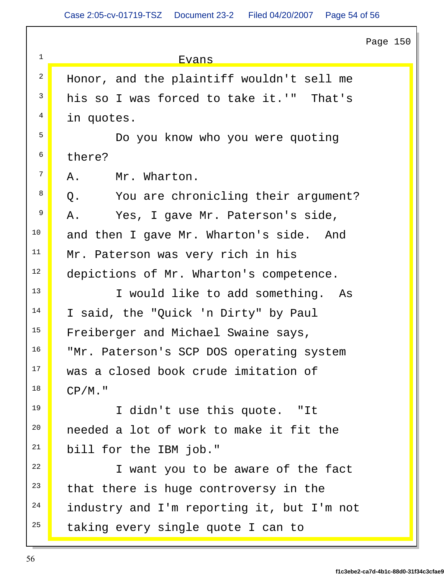| Page 150 |                                            |  |
|----------|--------------------------------------------|--|
|          | <u>Evans</u>                               |  |
|          | Honor, and the plaintiff wouldn't sell me  |  |
|          | his so I was forced to take it.'" That's   |  |
|          | in quotes.                                 |  |
|          | Do you know who you were quoting           |  |
|          | there?                                     |  |
|          | Mr. Wharton.<br>Α.                         |  |
|          | You are chronicling their argument?<br>Q.  |  |
| 9        | Yes, I gave Mr. Paterson's side,<br>Α.     |  |
| 10       | and then I gave Mr. Wharton's side. And    |  |
| 11       | Mr. Paterson was very rich in his          |  |
| 12       | depictions of Mr. Wharton's competence.    |  |
| 13       | I would like to add something. As          |  |
| 14       | I said, the "Quick 'n Dirty" by Paul       |  |
| 15       | Freiberger and Michael Swaine says,        |  |
| 16       | "Mr. Paterson's SCP DOS operating system   |  |
| 17       | was a closed book crude imitation of       |  |
| 18       | $\mathbb{CP}/\mathbb{M}$ ."                |  |
| 19       | I didn't use this quote. "It               |  |
| 20       | needed a lot of work to make it fit the    |  |
| 21       | bill for the IBM job."                     |  |
| 22       | I want you to be aware of the fact         |  |
| 23       | that there is huge controversy in the      |  |
|          | industry and I'm reporting it, but I'm not |  |
| 25       | taking every single quote I can to         |  |
|          |                                            |  |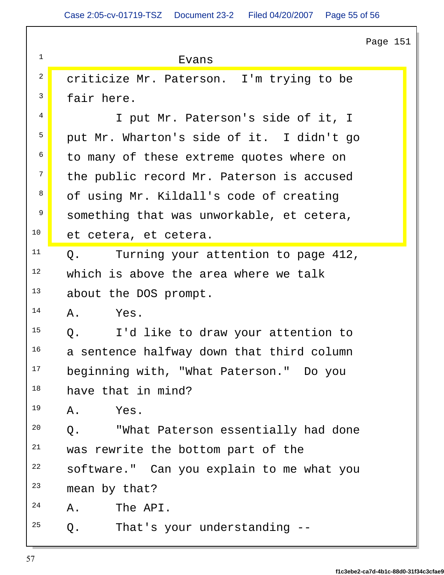|                                                                    | Page 151                                  |
|--------------------------------------------------------------------|-------------------------------------------|
|                                                                    | Evans                                     |
| $\overline{2}$                                                     | criticize Mr. Paterson. I'm trying to be  |
|                                                                    | fair here.                                |
| $\left  \begin{array}{c} 4 \end{array} \right $                    | I put Mr. Paterson's side of it, I        |
| 5 <sup>5</sup>                                                     | put Mr. Wharton's side of it. I didn't go |
| $6 \mid$                                                           | to many of these extreme quotes where on  |
| $\overline{7}$                                                     | the public record Mr. Paterson is accused |
| $\begin{array}{ c c c c c }\n\hline\n8 & 8 \\ \hline\n\end{array}$ | of using Mr. Kildall's code of creating   |
| 9                                                                  | something that was unworkable, et cetera, |
| 10                                                                 | et cetera, et cetera.                     |
| 11                                                                 | Turning your attention to page 412,<br>Q. |
| 12                                                                 | which is above the area where we talk     |
| 13                                                                 | about the DOS prompt.                     |
| 14                                                                 | Yes.<br>Α.                                |
| 15                                                                 | Q.<br>I'd like to draw your attention to  |
| 16                                                                 | a sentence halfway down that third column |
| 17                                                                 | beginning with, "What Paterson." Do you   |
| 18                                                                 | have that in mind?                        |
| 19                                                                 | Yes.<br>Α.                                |
| 20                                                                 | "What Paterson essentially had done<br>Q. |
| 21                                                                 | was rewrite the bottom part of the        |
| 22                                                                 | software." Can you explain to me what you |
| 23                                                                 | mean by that?                             |
| 24                                                                 | The API.<br>Α.                            |
| 25                                                                 | That's your understanding --<br>Q.        |